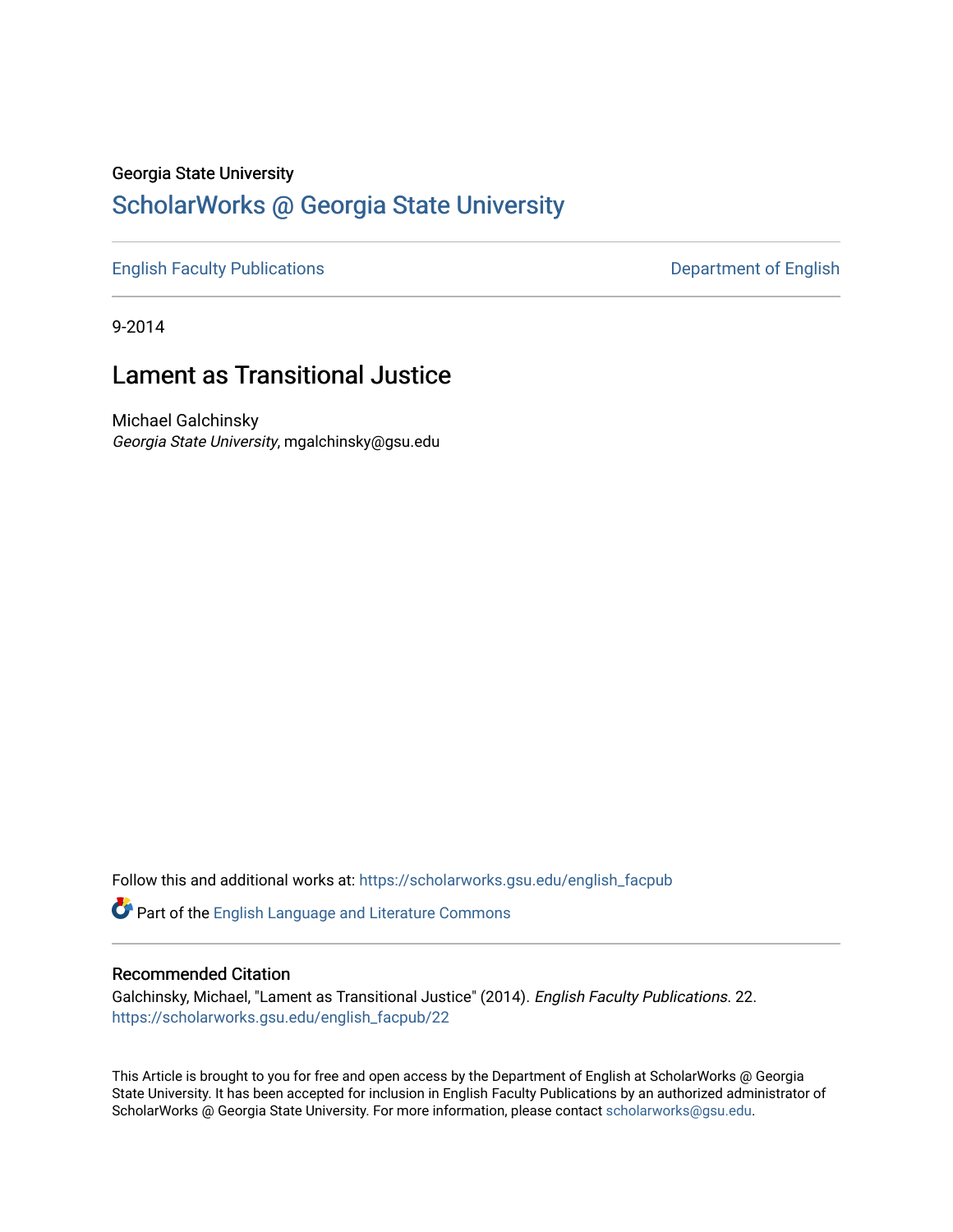# Georgia State University

# [ScholarWorks @ Georgia State University](https://scholarworks.gsu.edu/)

[English Faculty Publications](https://scholarworks.gsu.edu/english_facpub) **Department of English** 

9-2014

# Lament as Transitional Justice

Michael Galchinsky Georgia State University, mgalchinsky@gsu.edu

Follow this and additional works at: [https://scholarworks.gsu.edu/english\\_facpub](https://scholarworks.gsu.edu/english_facpub?utm_source=scholarworks.gsu.edu%2Fenglish_facpub%2F22&utm_medium=PDF&utm_campaign=PDFCoverPages)

Part of the [English Language and Literature Commons](http://network.bepress.com/hgg/discipline/455?utm_source=scholarworks.gsu.edu%2Fenglish_facpub%2F22&utm_medium=PDF&utm_campaign=PDFCoverPages)

# Recommended Citation

Galchinsky, Michael, "Lament as Transitional Justice" (2014). English Faculty Publications. 22. [https://scholarworks.gsu.edu/english\\_facpub/22](https://scholarworks.gsu.edu/english_facpub/22?utm_source=scholarworks.gsu.edu%2Fenglish_facpub%2F22&utm_medium=PDF&utm_campaign=PDFCoverPages) 

This Article is brought to you for free and open access by the Department of English at ScholarWorks @ Georgia State University. It has been accepted for inclusion in English Faculty Publications by an authorized administrator of ScholarWorks @ Georgia State University. For more information, please contact [scholarworks@gsu.edu](mailto:scholarworks@gsu.edu).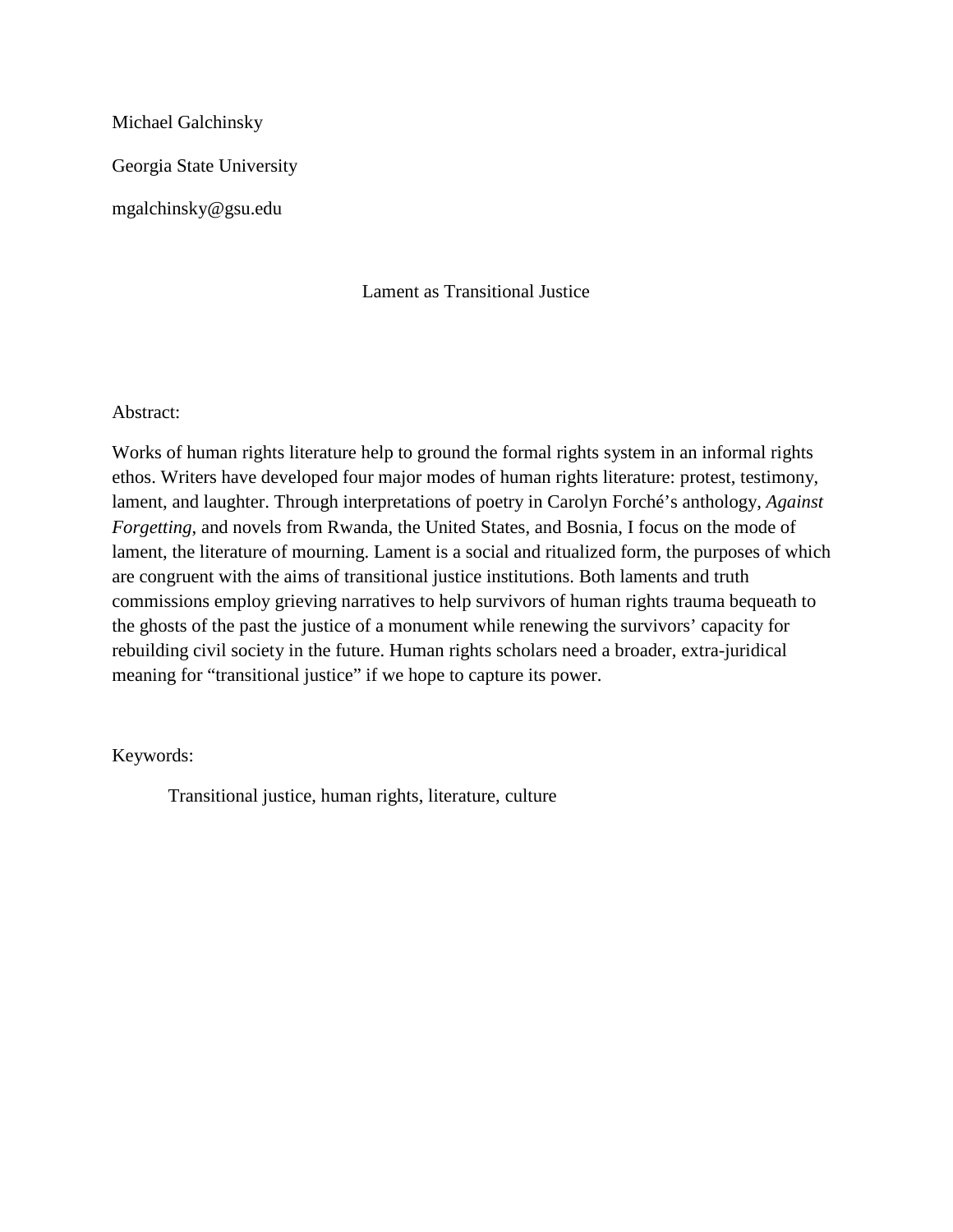Michael Galchinsky Georgia State University mgalchinsky@gsu.edu

# Lament as Transitional Justice

## Abstract:

Works of human rights literature help to ground the formal rights system in an informal rights ethos. Writers have developed four major modes of human rights literature: protest, testimony, lament, and laughter. Through interpretations of poetry in Carolyn Forché's anthology, *Against Forgetting*, and novels from Rwanda, the United States, and Bosnia, I focus on the mode of lament, the literature of mourning. Lament is a social and ritualized form, the purposes of which are congruent with the aims of transitional justice institutions. Both laments and truth commissions employ grieving narratives to help survivors of human rights trauma bequeath to the ghosts of the past the justice of a monument while renewing the survivors' capacity for rebuilding civil society in the future. Human rights scholars need a broader, extra-juridical meaning for "transitional justice" if we hope to capture its power.

## Keywords:

Transitional justice, human rights, literature, culture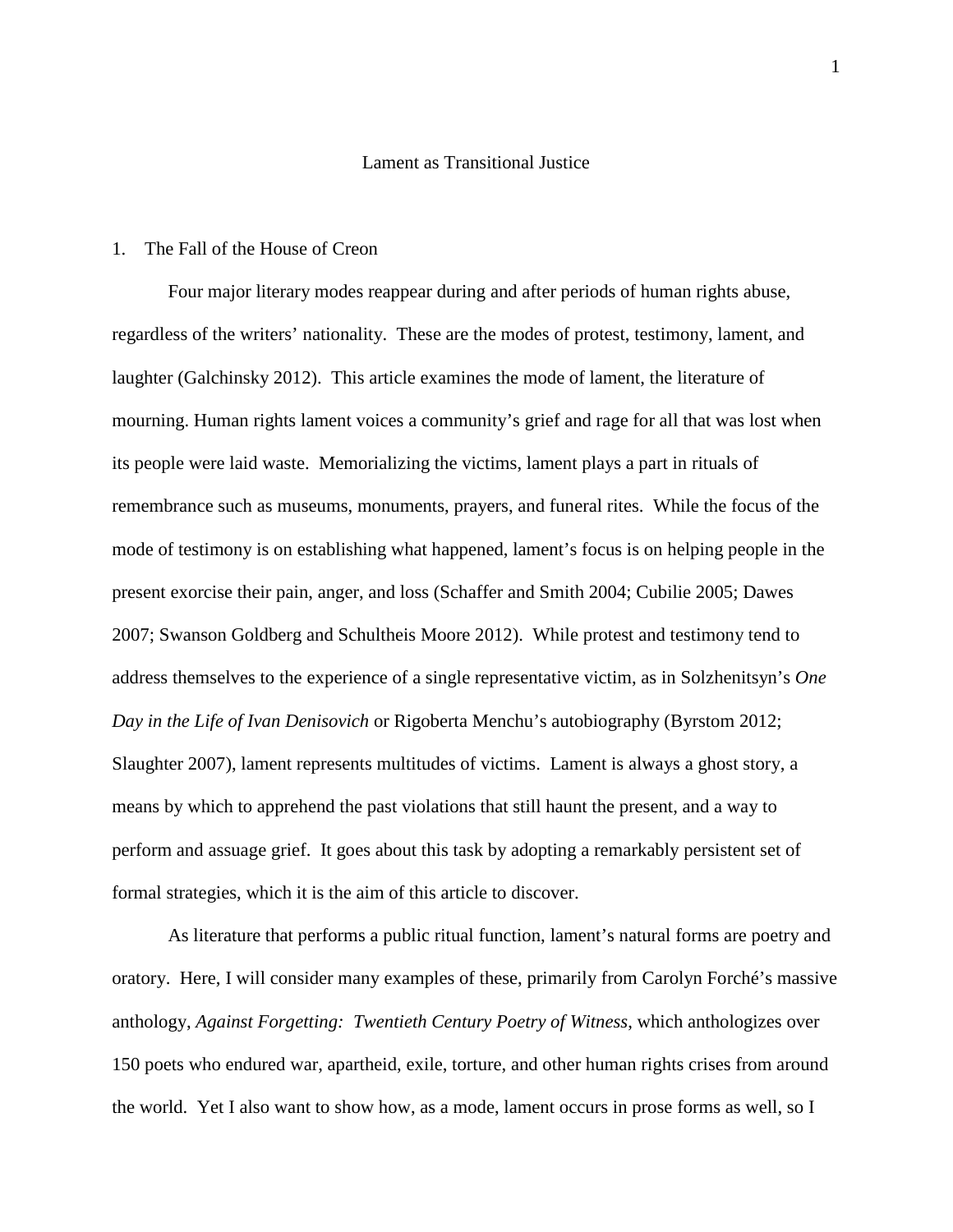# Lament as Transitional Justice

## 1. The Fall of the House of Creon

Four major literary modes reappear during and after periods of human rights abuse, regardless of the writers' nationality. These are the modes of protest, testimony, lament, and laughter (Galchinsky 2012). This article examines the mode of lament, the literature of mourning. Human rights lament voices a community's grief and rage for all that was lost when its people were laid waste. Memorializing the victims, lament plays a part in rituals of remembrance such as museums, monuments, prayers, and funeral rites. While the focus of the mode of testimony is on establishing what happened, lament's focus is on helping people in the present exorcise their pain, anger, and loss (Schaffer and Smith 2004; Cubilie 2005; Dawes 2007; Swanson Goldberg and Schultheis Moore 2012). While protest and testimony tend to address themselves to the experience of a single representative victim, as in Solzhenitsyn's *One Day in the Life of Ivan Denisovich* or Rigoberta Menchu's autobiography (Byrstom 2012; Slaughter 2007), lament represents multitudes of victims. Lament is always a ghost story, a means by which to apprehend the past violations that still haunt the present, and a way to perform and assuage grief. It goes about this task by adopting a remarkably persistent set of formal strategies, which it is the aim of this article to discover.

As literature that performs a public ritual function, lament's natural forms are poetry and oratory. Here, I will consider many examples of these, primarily from Carolyn Forché's massive anthology, *Against Forgetting: Twentieth Century Poetry of Witness*, which anthologizes over 150 poets who endured war, apartheid, exile, torture, and other human rights crises from around the world. Yet I also want to show how, as a mode, lament occurs in prose forms as well, so I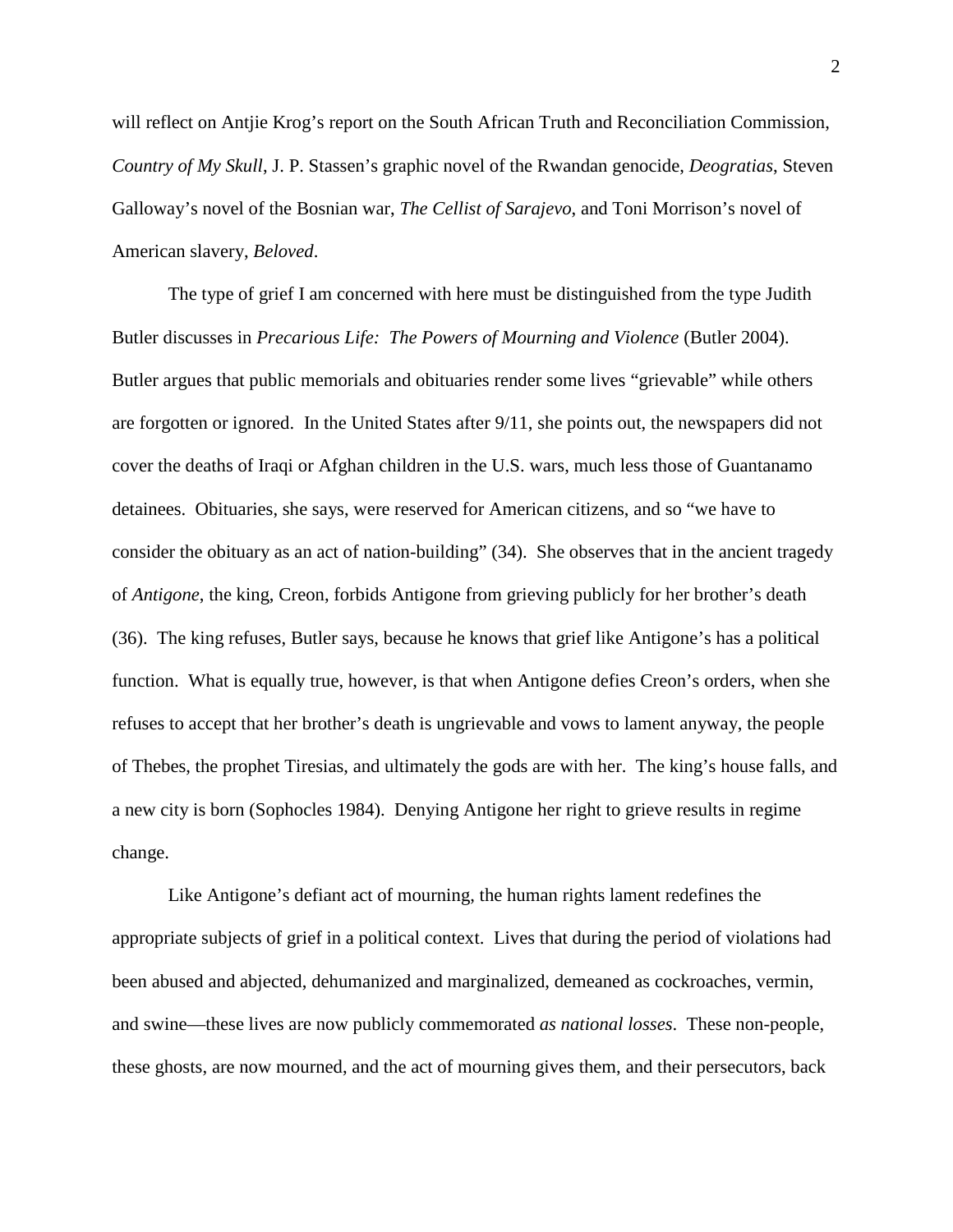will reflect on Antjie Krog's report on the South African Truth and Reconciliation Commission, *Country of My Skull*, J. P. Stassen's graphic novel of the Rwandan genocide, *Deogratias*, Steven Galloway's novel of the Bosnian war, *The Cellist of Sarajevo*, and Toni Morrison's novel of American slavery, *Beloved*.

The type of grief I am concerned with here must be distinguished from the type Judith Butler discusses in *Precarious Life: The Powers of Mourning and Violence* (Butler 2004). Butler argues that public memorials and obituaries render some lives "grievable" while others are forgotten or ignored. In the United States after 9/11, she points out, the newspapers did not cover the deaths of Iraqi or Afghan children in the U.S. wars, much less those of Guantanamo detainees. Obituaries, she says, were reserved for American citizens, and so "we have to consider the obituary as an act of nation-building" (34). She observes that in the ancient tragedy of *Antigone*, the king, Creon, forbids Antigone from grieving publicly for her brother's death (36). The king refuses, Butler says, because he knows that grief like Antigone's has a political function. What is equally true, however, is that when Antigone defies Creon's orders, when she refuses to accept that her brother's death is ungrievable and vows to lament anyway, the people of Thebes, the prophet Tiresias, and ultimately the gods are with her. The king's house falls, and a new city is born (Sophocles 1984). Denying Antigone her right to grieve results in regime change.

Like Antigone's defiant act of mourning, the human rights lament redefines the appropriate subjects of grief in a political context. Lives that during the period of violations had been abused and abjected, dehumanized and marginalized, demeaned as cockroaches, vermin, and swine—these lives are now publicly commemorated *as national losses*. These non-people, these ghosts, are now mourned, and the act of mourning gives them, and their persecutors, back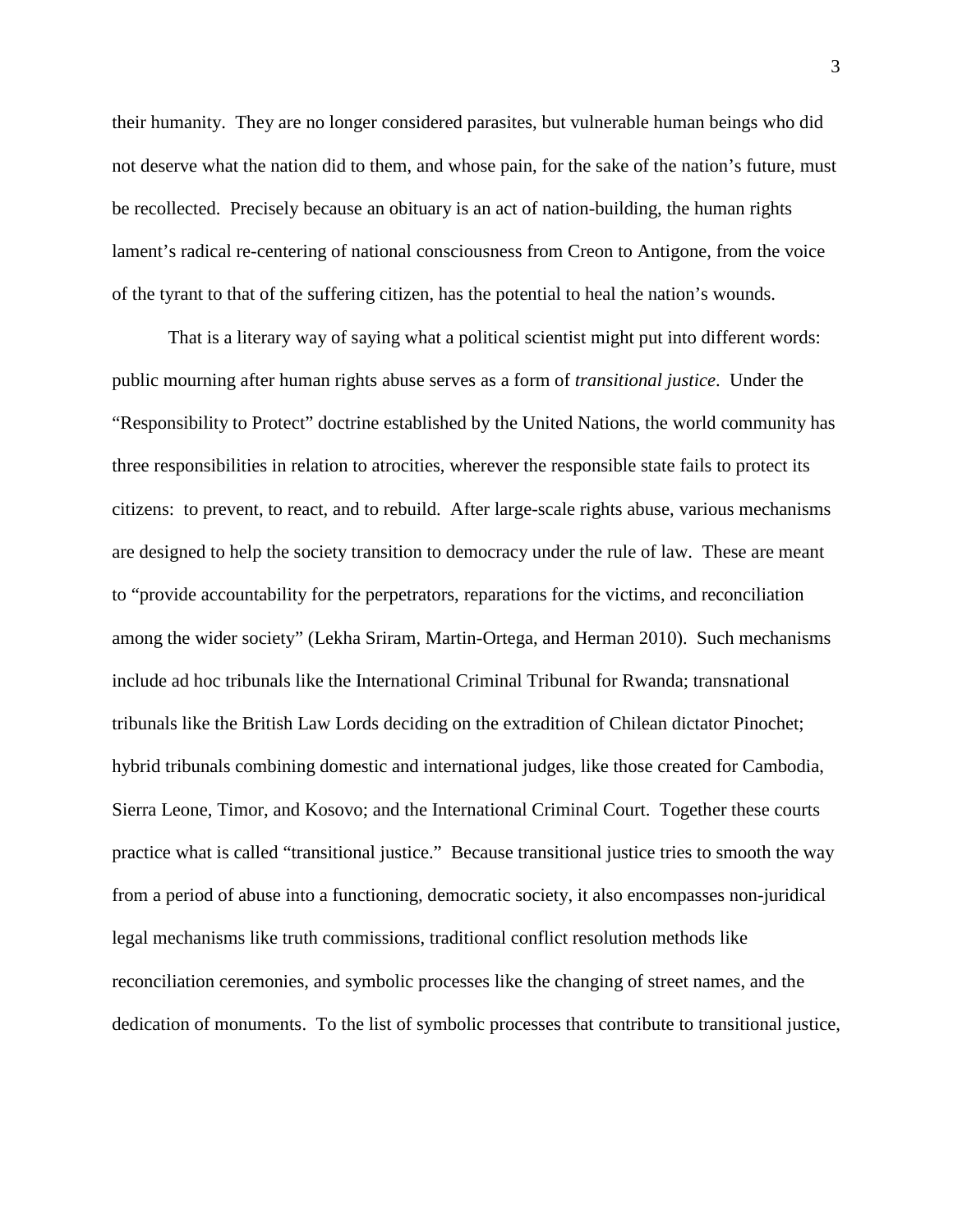their humanity. They are no longer considered parasites, but vulnerable human beings who did not deserve what the nation did to them, and whose pain, for the sake of the nation's future, must be recollected. Precisely because an obituary is an act of nation-building, the human rights lament's radical re-centering of national consciousness from Creon to Antigone, from the voice of the tyrant to that of the suffering citizen, has the potential to heal the nation's wounds.

That is a literary way of saying what a political scientist might put into different words: public mourning after human rights abuse serves as a form of *transitional justice*. Under the "Responsibility to Protect" doctrine established by the United Nations, the world community has three responsibilities in relation to atrocities, wherever the responsible state fails to protect its citizens: to prevent, to react, and to rebuild. After large-scale rights abuse, various mechanisms are designed to help the society transition to democracy under the rule of law. These are meant to "provide accountability for the perpetrators, reparations for the victims, and reconciliation among the wider society" (Lekha Sriram, Martin-Ortega, and Herman 2010). Such mechanisms include ad hoc tribunals like the International Criminal Tribunal for Rwanda; transnational tribunals like the British Law Lords deciding on the extradition of Chilean dictator Pinochet; hybrid tribunals combining domestic and international judges, like those created for Cambodia, Sierra Leone, Timor, and Kosovo; and the International Criminal Court. Together these courts practice what is called "transitional justice." Because transitional justice tries to smooth the way from a period of abuse into a functioning, democratic society, it also encompasses non-juridical legal mechanisms like truth commissions, traditional conflict resolution methods like reconciliation ceremonies, and symbolic processes like the changing of street names, and the dedication of monuments. To the list of symbolic processes that contribute to transitional justice,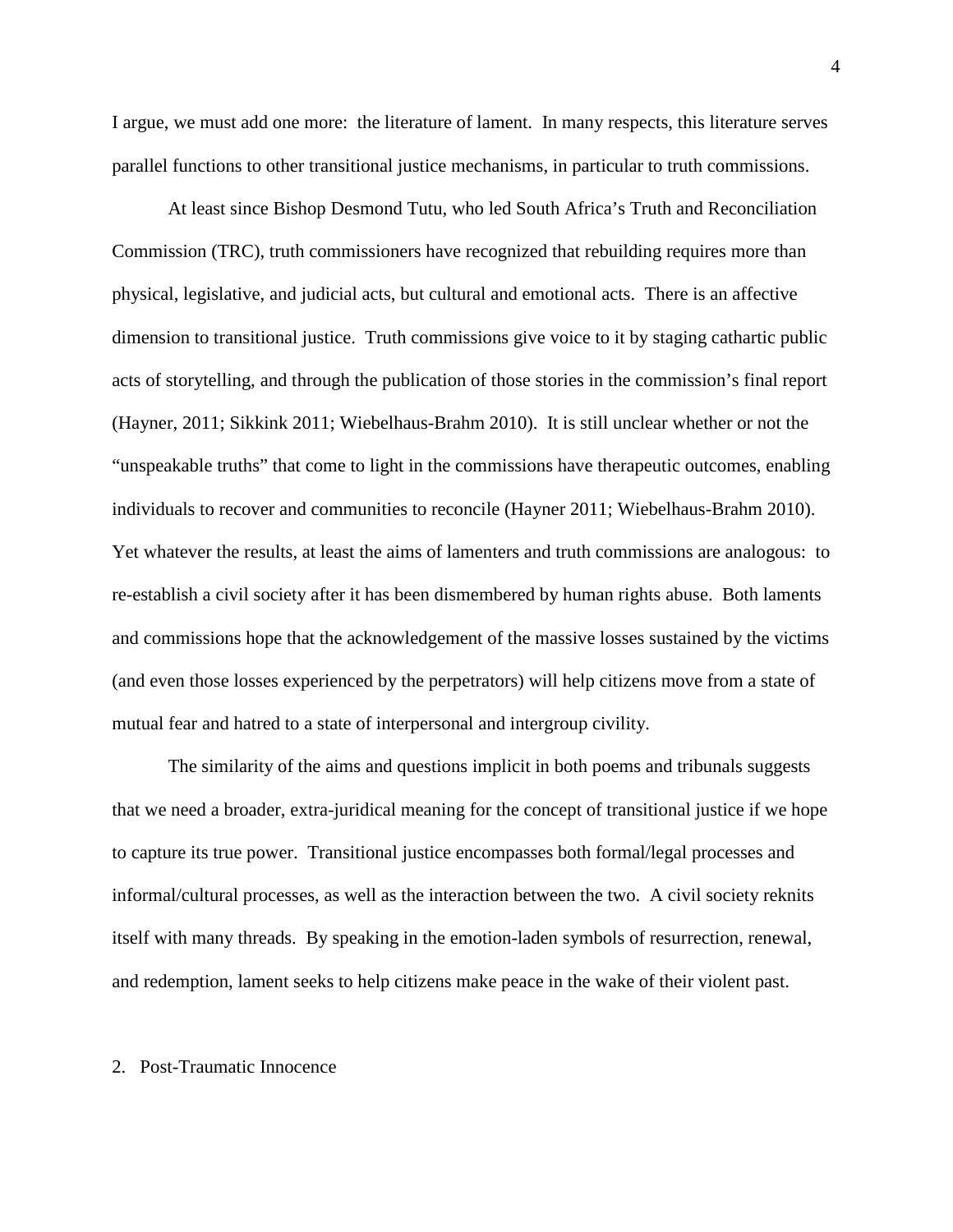I argue, we must add one more: the literature of lament. In many respects, this literature serves parallel functions to other transitional justice mechanisms, in particular to truth commissions.

At least since Bishop Desmond Tutu, who led South Africa's Truth and Reconciliation Commission (TRC), truth commissioners have recognized that rebuilding requires more than physical, legislative, and judicial acts, but cultural and emotional acts. There is an affective dimension to transitional justice. Truth commissions give voice to it by staging cathartic public acts of storytelling, and through the publication of those stories in the commission's final report (Hayner, 2011; Sikkink 2011; Wiebelhaus-Brahm 2010). It is still unclear whether or not the "unspeakable truths" that come to light in the commissions have therapeutic outcomes, enabling individuals to recover and communities to reconcile (Hayner 2011; Wiebelhaus-Brahm 2010). Yet whatever the results, at least the aims of lamenters and truth commissions are analogous: to re-establish a civil society after it has been dismembered by human rights abuse. Both laments and commissions hope that the acknowledgement of the massive losses sustained by the victims (and even those losses experienced by the perpetrators) will help citizens move from a state of mutual fear and hatred to a state of interpersonal and intergroup civility.

The similarity of the aims and questions implicit in both poems and tribunals suggests that we need a broader, extra-juridical meaning for the concept of transitional justice if we hope to capture its true power. Transitional justice encompasses both formal/legal processes and informal/cultural processes, as well as the interaction between the two. A civil society reknits itself with many threads. By speaking in the emotion-laden symbols of resurrection, renewal, and redemption, lament seeks to help citizens make peace in the wake of their violent past.

#### 2. Post-Traumatic Innocence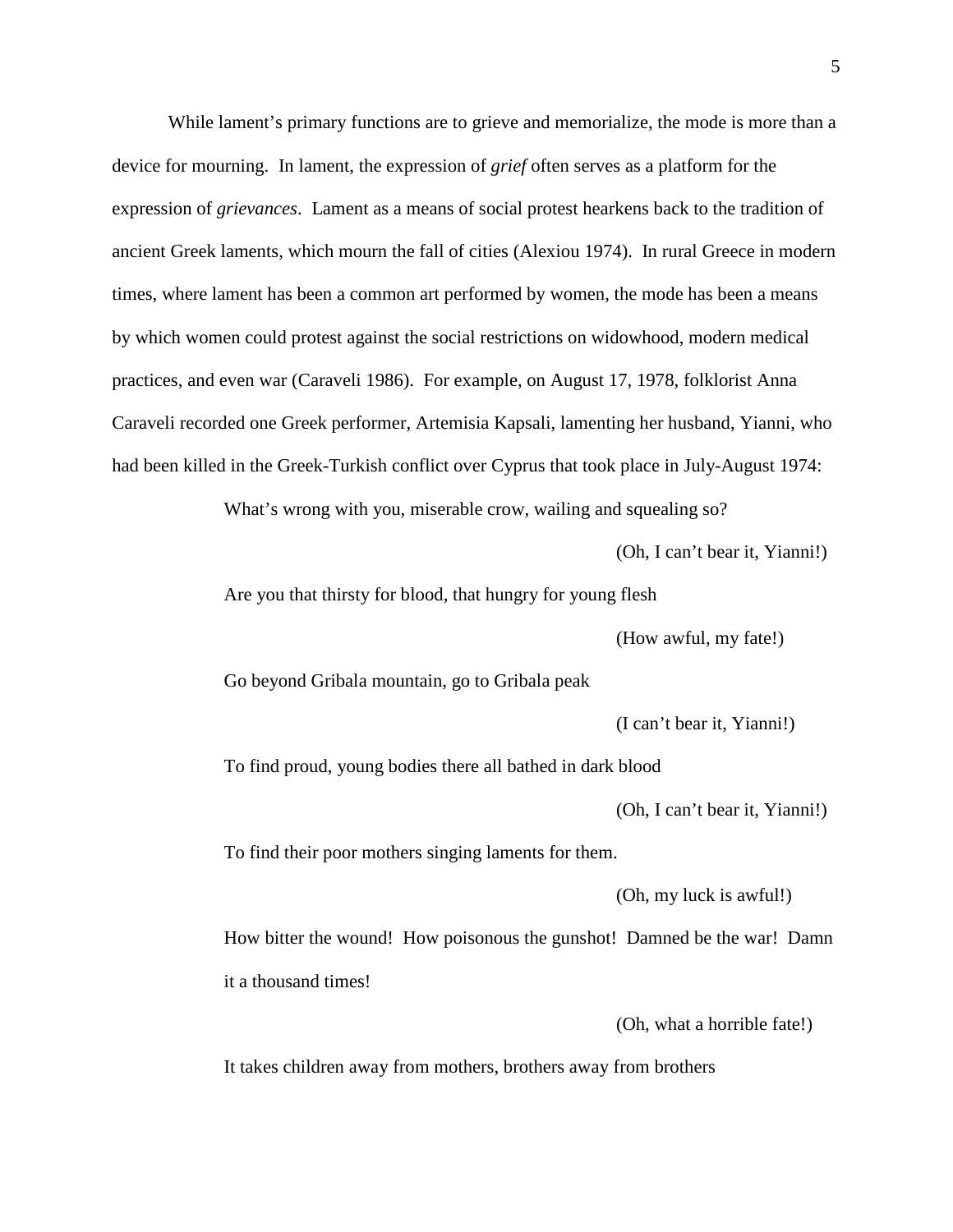While lament's primary functions are to grieve and memorialize, the mode is more than a device for mourning. In lament, the expression of *grief* often serves as a platform for the expression of *grievances*. Lament as a means of social protest hearkens back to the tradition of ancient Greek laments, which mourn the fall of cities (Alexiou 1974). In rural Greece in modern times, where lament has been a common art performed by women, the mode has been a means by which women could protest against the social restrictions on widowhood, modern medical practices, and even war (Caraveli 1986). For example, on August 17, 1978, folklorist Anna Caraveli recorded one Greek performer, Artemisia Kapsali, lamenting her husband, Yianni, who had been killed in the Greek-Turkish conflict over Cyprus that took place in July-August 1974:

What's wrong with you, miserable crow, wailing and squealing so?

(Oh, I can't bear it, Yianni!)

Are you that thirsty for blood, that hungry for young flesh

(How awful, my fate!)

Go beyond Gribala mountain, go to Gribala peak

(I can't bear it, Yianni!)

To find proud, young bodies there all bathed in dark blood

(Oh, I can't bear it, Yianni!)

To find their poor mothers singing laments for them.

(Oh, my luck is awful!)

How bitter the wound! How poisonous the gunshot! Damned be the war! Damn it a thousand times!

(Oh, what a horrible fate!)

It takes children away from mothers, brothers away from brothers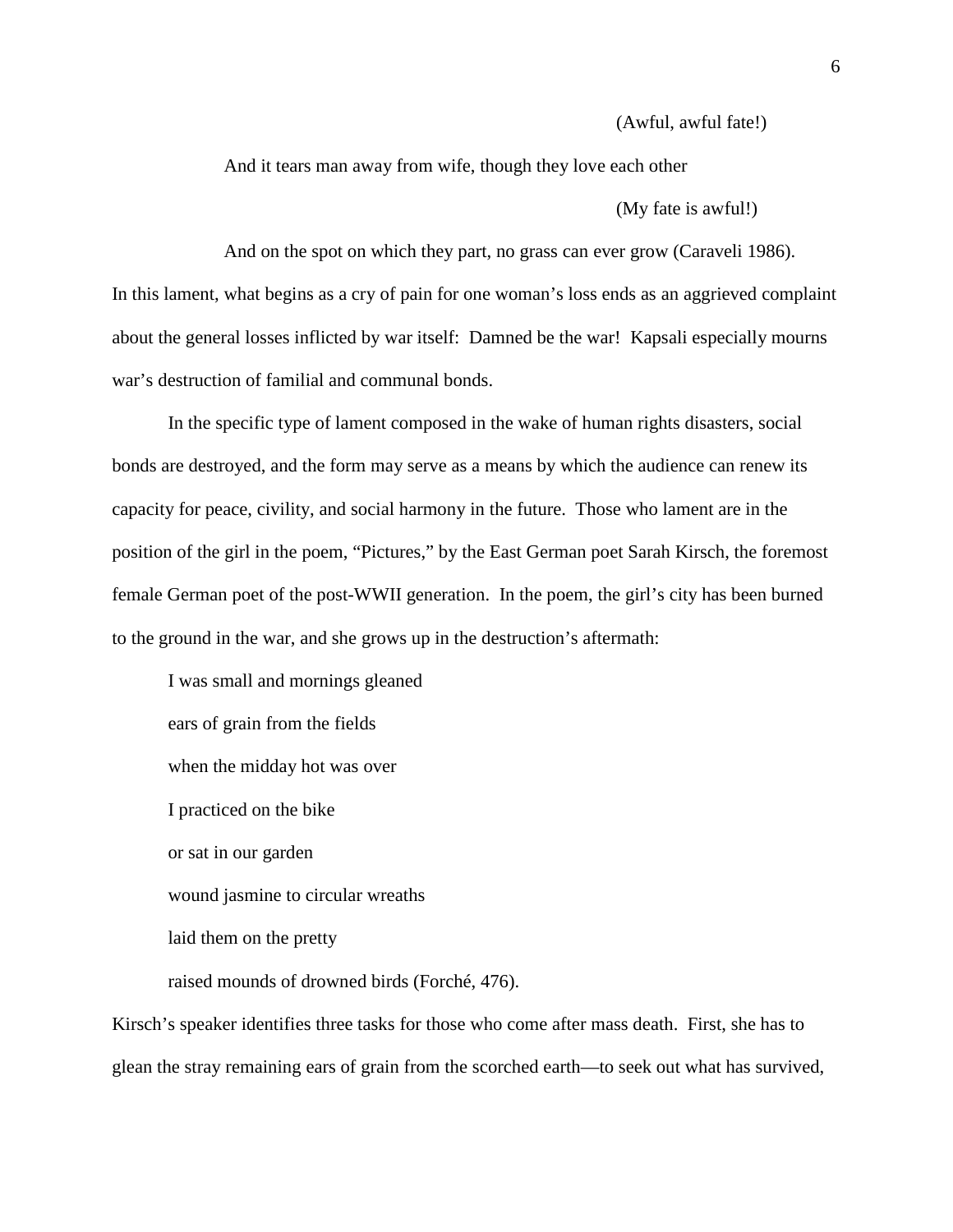(Awful, awful fate!)

And it tears man away from wife, though they love each other

(My fate is awful!)

And on the spot on which they part, no grass can ever grow (Caraveli 1986). In this lament, what begins as a cry of pain for one woman's loss ends as an aggrieved complaint about the general losses inflicted by war itself: Damned be the war! Kapsali especially mourns war's destruction of familial and communal bonds.

In the specific type of lament composed in the wake of human rights disasters, social bonds are destroyed, and the form may serve as a means by which the audience can renew its capacity for peace, civility, and social harmony in the future. Those who lament are in the position of the girl in the poem, "Pictures," by the East German poet Sarah Kirsch, the foremost female German poet of the post-WWII generation. In the poem, the girl's city has been burned to the ground in the war, and she grows up in the destruction's aftermath:

I was small and mornings gleaned ears of grain from the fields when the midday hot was over I practiced on the bike or sat in our garden wound jasmine to circular wreaths laid them on the pretty raised mounds of drowned birds (Forché, 476).

Kirsch's speaker identifies three tasks for those who come after mass death. First, she has to glean the stray remaining ears of grain from the scorched earth—to seek out what has survived,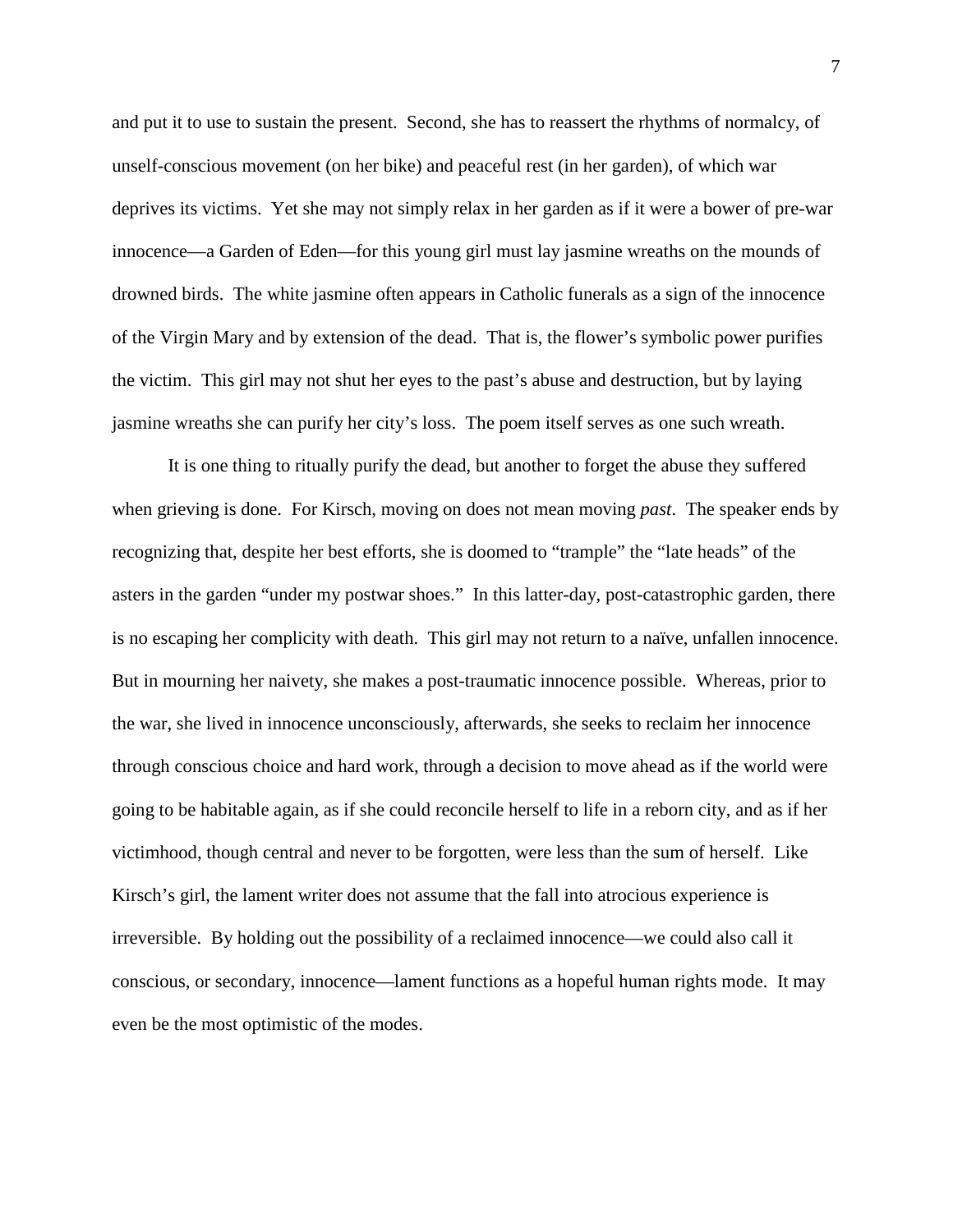and put it to use to sustain the present. Second, she has to reassert the rhythms of normalcy, of unself-conscious movement (on her bike) and peaceful rest (in her garden), of which war deprives its victims. Yet she may not simply relax in her garden as if it were a bower of pre-war innocence—a Garden of Eden—for this young girl must lay jasmine wreaths on the mounds of drowned birds. The white jasmine often appears in Catholic funerals as a sign of the innocence of the Virgin Mary and by extension of the dead. That is, the flower's symbolic power purifies the victim. This girl may not shut her eyes to the past's abuse and destruction, but by laying jasmine wreaths she can purify her city's loss. The poem itself serves as one such wreath.

It is one thing to ritually purify the dead, but another to forget the abuse they suffered when grieving is done. For Kirsch, moving on does not mean moving *past*. The speaker ends by recognizing that, despite her best efforts, she is doomed to "trample" the "late heads" of the asters in the garden "under my postwar shoes." In this latter-day, post-catastrophic garden, there is no escaping her complicity with death. This girl may not return to a naïve, unfallen innocence. But in mourning her naivety, she makes a post-traumatic innocence possible. Whereas, prior to the war, she lived in innocence unconsciously, afterwards, she seeks to reclaim her innocence through conscious choice and hard work, through a decision to move ahead as if the world were going to be habitable again, as if she could reconcile herself to life in a reborn city, and as if her victimhood, though central and never to be forgotten, were less than the sum of herself. Like Kirsch's girl, the lament writer does not assume that the fall into atrocious experience is irreversible. By holding out the possibility of a reclaimed innocence—we could also call it conscious, or secondary, innocence—lament functions as a hopeful human rights mode. It may even be the most optimistic of the modes.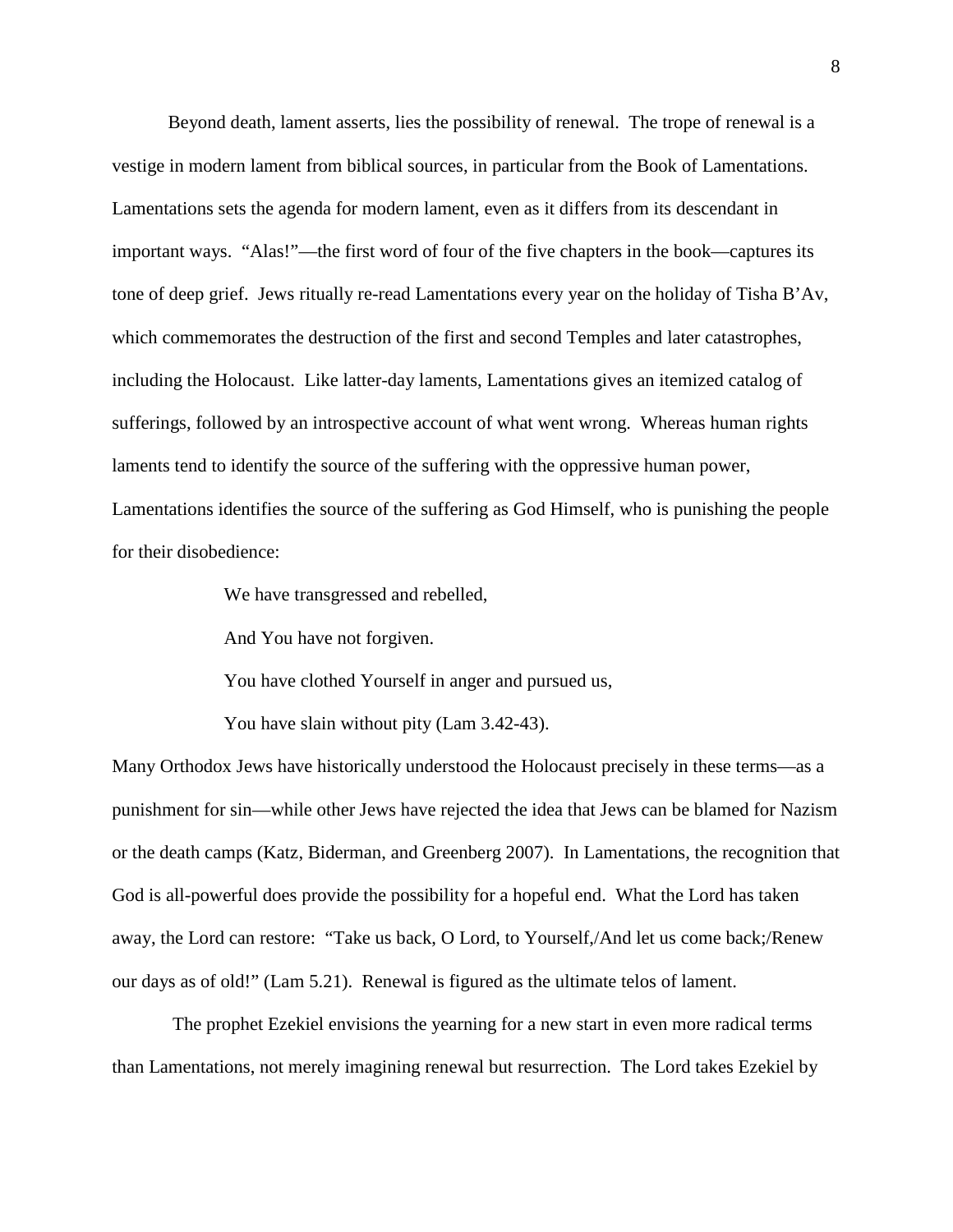Beyond death, lament asserts, lies the possibility of renewal. The trope of renewal is a vestige in modern lament from biblical sources, in particular from the Book of Lamentations. Lamentations sets the agenda for modern lament, even as it differs from its descendant in important ways. "Alas!"—the first word of four of the five chapters in the book—captures its tone of deep grief. Jews ritually re-read Lamentations every year on the holiday of Tisha B'Av, which commemorates the destruction of the first and second Temples and later catastrophes, including the Holocaust. Like latter-day laments, Lamentations gives an itemized catalog of sufferings, followed by an introspective account of what went wrong. Whereas human rights laments tend to identify the source of the suffering with the oppressive human power, Lamentations identifies the source of the suffering as God Himself, who is punishing the people for their disobedience:

We have transgressed and rebelled,

And You have not forgiven.

You have clothed Yourself in anger and pursued us,

You have slain without pity (Lam 3.42-43).

Many Orthodox Jews have historically understood the Holocaust precisely in these terms—as a punishment for sin—while other Jews have rejected the idea that Jews can be blamed for Nazism or the death camps (Katz, Biderman, and Greenberg 2007). In Lamentations, the recognition that God is all-powerful does provide the possibility for a hopeful end. What the Lord has taken away, the Lord can restore: "Take us back, O Lord, to Yourself,/And let us come back;/Renew our days as of old!" (Lam 5.21). Renewal is figured as the ultimate telos of lament.

The prophet Ezekiel envisions the yearning for a new start in even more radical terms than Lamentations, not merely imagining renewal but resurrection. The Lord takes Ezekiel by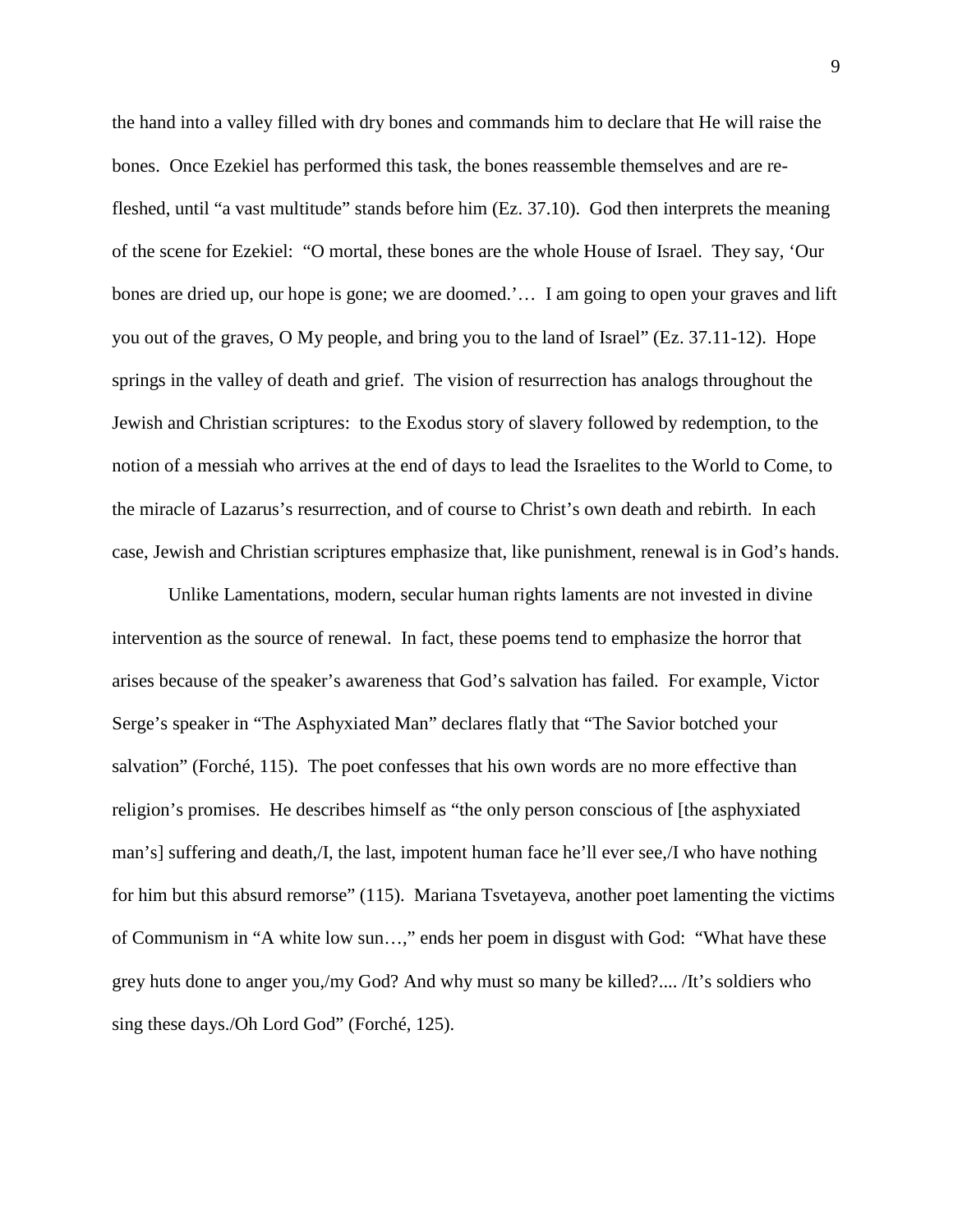the hand into a valley filled with dry bones and commands him to declare that He will raise the bones. Once Ezekiel has performed this task, the bones reassemble themselves and are refleshed, until "a vast multitude" stands before him (Ez. 37.10). God then interprets the meaning of the scene for Ezekiel: "O mortal, these bones are the whole House of Israel. They say, 'Our bones are dried up, our hope is gone; we are doomed.'… I am going to open your graves and lift you out of the graves, O My people, and bring you to the land of Israel" (Ez. 37.11-12). Hope springs in the valley of death and grief. The vision of resurrection has analogs throughout the Jewish and Christian scriptures: to the Exodus story of slavery followed by redemption, to the notion of a messiah who arrives at the end of days to lead the Israelites to the World to Come, to the miracle of Lazarus's resurrection, and of course to Christ's own death and rebirth. In each case, Jewish and Christian scriptures emphasize that, like punishment, renewal is in God's hands.

Unlike Lamentations, modern, secular human rights laments are not invested in divine intervention as the source of renewal. In fact, these poems tend to emphasize the horror that arises because of the speaker's awareness that God's salvation has failed. For example, Victor Serge's speaker in "The Asphyxiated Man" declares flatly that "The Savior botched your salvation" (Forché, 115). The poet confesses that his own words are no more effective than religion's promises. He describes himself as "the only person conscious of [the asphyxiated man's] suffering and death,/I, the last, impotent human face he'll ever see,/I who have nothing for him but this absurd remorse" (115). Mariana Tsvetayeva, another poet lamenting the victims of Communism in "A white low sun…," ends her poem in disgust with God: "What have these grey huts done to anger you,/my God? And why must so many be killed?.... /It's soldiers who sing these days./Oh Lord God" (Forché, 125).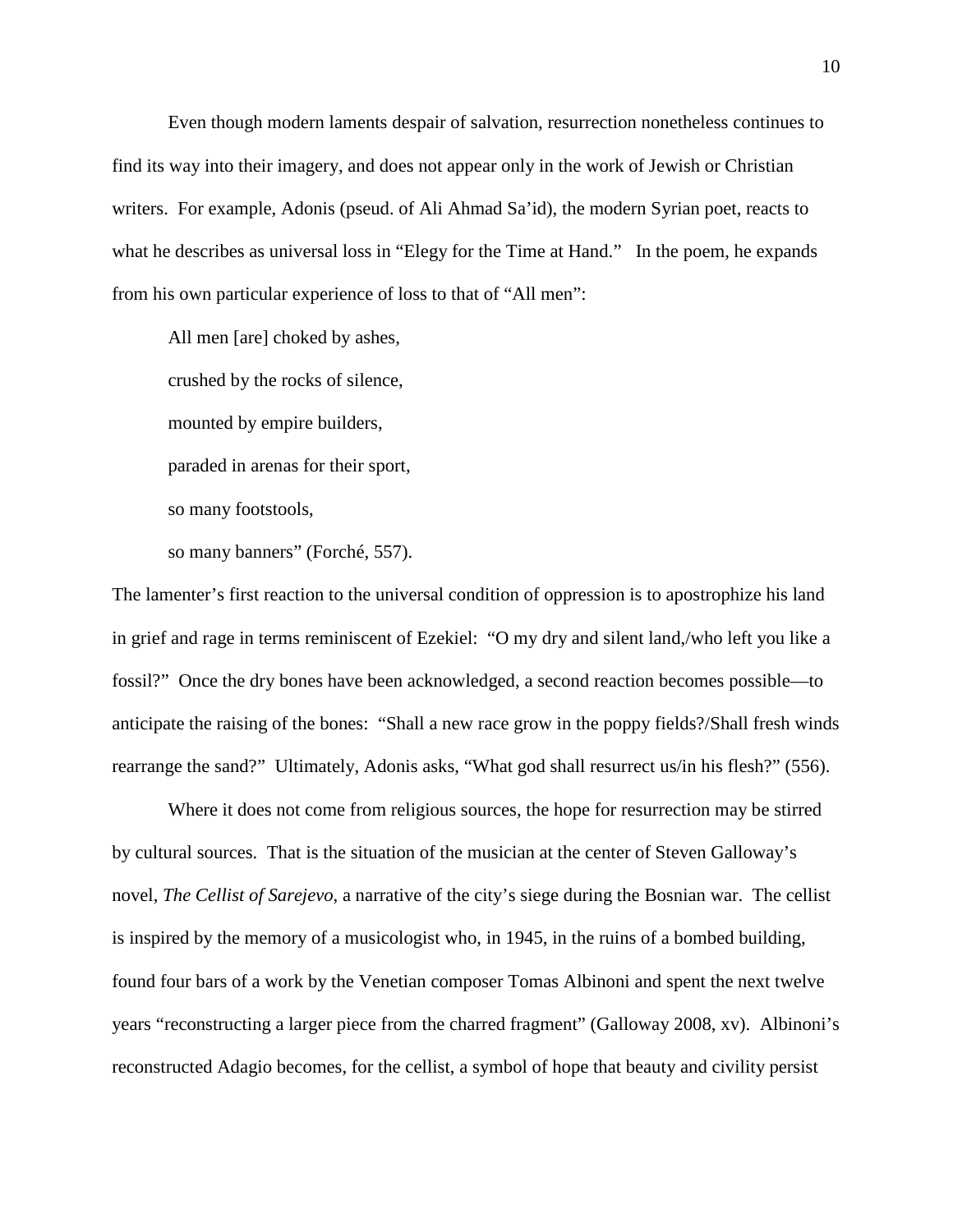Even though modern laments despair of salvation, resurrection nonetheless continues to find its way into their imagery, and does not appear only in the work of Jewish or Christian writers. For example, Adonis (pseud. of Ali Ahmad Sa'id), the modern Syrian poet, reacts to what he describes as universal loss in "Elegy for the Time at Hand." In the poem, he expands from his own particular experience of loss to that of "All men":

All men [are] choked by ashes, crushed by the rocks of silence, mounted by empire builders, paraded in arenas for their sport, so many footstools, so many banners" (Forché, 557).

The lamenter's first reaction to the universal condition of oppression is to apostrophize his land in grief and rage in terms reminiscent of Ezekiel: "O my dry and silent land,/who left you like a fossil?" Once the dry bones have been acknowledged, a second reaction becomes possible—to anticipate the raising of the bones: "Shall a new race grow in the poppy fields?/Shall fresh winds rearrange the sand?" Ultimately, Adonis asks, "What god shall resurrect us/in his flesh?" (556).

Where it does not come from religious sources, the hope for resurrection may be stirred by cultural sources. That is the situation of the musician at the center of Steven Galloway's novel, *The Cellist of Sarejevo*, a narrative of the city's siege during the Bosnian war. The cellist is inspired by the memory of a musicologist who, in 1945, in the ruins of a bombed building, found four bars of a work by the Venetian composer Tomas Albinoni and spent the next twelve years "reconstructing a larger piece from the charred fragment" (Galloway 2008, xv). Albinoni's reconstructed Adagio becomes, for the cellist, a symbol of hope that beauty and civility persist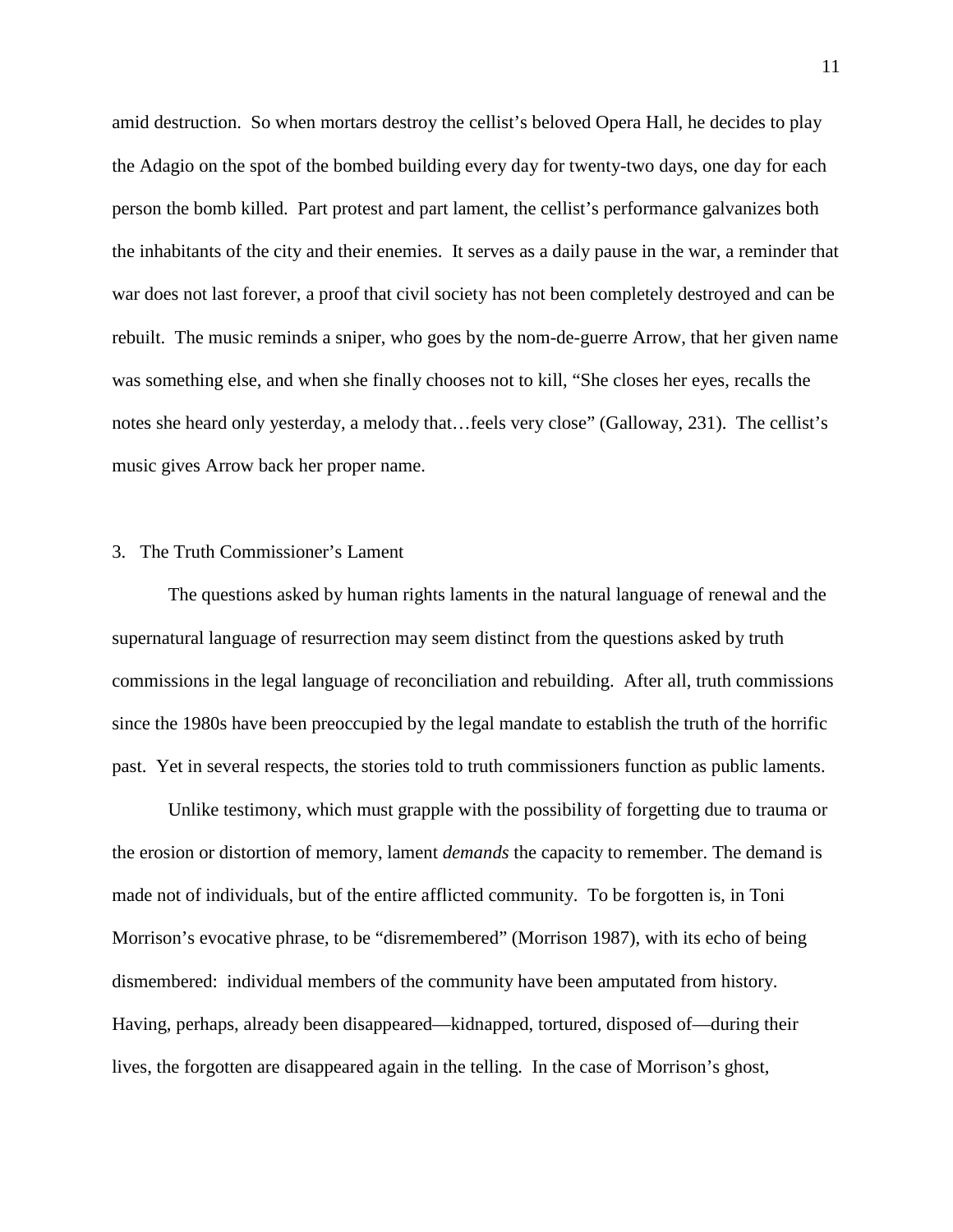amid destruction. So when mortars destroy the cellist's beloved Opera Hall, he decides to play the Adagio on the spot of the bombed building every day for twenty-two days, one day for each person the bomb killed. Part protest and part lament, the cellist's performance galvanizes both the inhabitants of the city and their enemies. It serves as a daily pause in the war, a reminder that war does not last forever, a proof that civil society has not been completely destroyed and can be rebuilt. The music reminds a sniper, who goes by the nom-de-guerre Arrow, that her given name was something else, and when she finally chooses not to kill, "She closes her eyes, recalls the notes she heard only yesterday, a melody that…feels very close" (Galloway, 231). The cellist's music gives Arrow back her proper name.

## 3. The Truth Commissioner's Lament

The questions asked by human rights laments in the natural language of renewal and the supernatural language of resurrection may seem distinct from the questions asked by truth commissions in the legal language of reconciliation and rebuilding. After all, truth commissions since the 1980s have been preoccupied by the legal mandate to establish the truth of the horrific past. Yet in several respects, the stories told to truth commissioners function as public laments.

Unlike testimony, which must grapple with the possibility of forgetting due to trauma or the erosion or distortion of memory, lament *demands* the capacity to remember. The demand is made not of individuals, but of the entire afflicted community. To be forgotten is, in Toni Morrison's evocative phrase, to be "disremembered" (Morrison 1987), with its echo of being dismembered: individual members of the community have been amputated from history. Having, perhaps, already been disappeared—kidnapped, tortured, disposed of—during their lives, the forgotten are disappeared again in the telling. In the case of Morrison's ghost,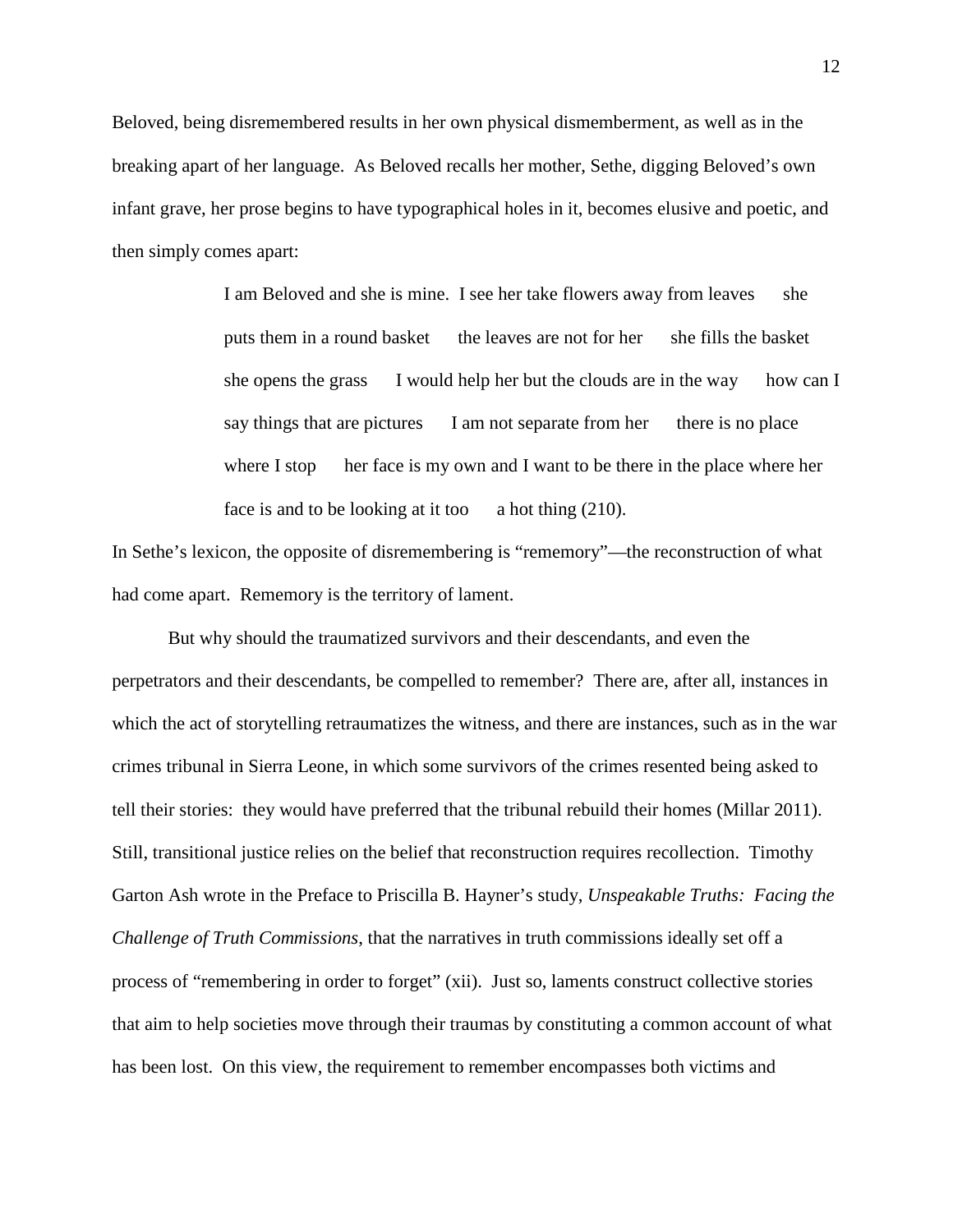Beloved, being disremembered results in her own physical dismemberment, as well as in the breaking apart of her language. As Beloved recalls her mother, Sethe, digging Beloved's own infant grave, her prose begins to have typographical holes in it, becomes elusive and poetic, and then simply comes apart:

> I am Beloved and she is mine. I see her take flowers away from leaves she puts them in a round basket the leaves are not for her she fills the basket she opens the grass I would help her but the clouds are in the way how can I say things that are pictures I am not separate from her there is no place where I stop her face is my own and I want to be there in the place where her face is and to be looking at it too a hot thing (210).

In Sethe's lexicon, the opposite of disremembering is "rememory"—the reconstruction of what had come apart. Rememory is the territory of lament.

But why should the traumatized survivors and their descendants, and even the perpetrators and their descendants, be compelled to remember? There are, after all, instances in which the act of storytelling retraumatizes the witness, and there are instances, such as in the war crimes tribunal in Sierra Leone, in which some survivors of the crimes resented being asked to tell their stories: they would have preferred that the tribunal rebuild their homes (Millar 2011). Still, transitional justice relies on the belief that reconstruction requires recollection. Timothy Garton Ash wrote in the Preface to Priscilla B. Hayner's study, *Unspeakable Truths: Facing the Challenge of Truth Commissions*, that the narratives in truth commissions ideally set off a process of "remembering in order to forget" (xii). Just so, laments construct collective stories that aim to help societies move through their traumas by constituting a common account of what has been lost. On this view, the requirement to remember encompasses both victims and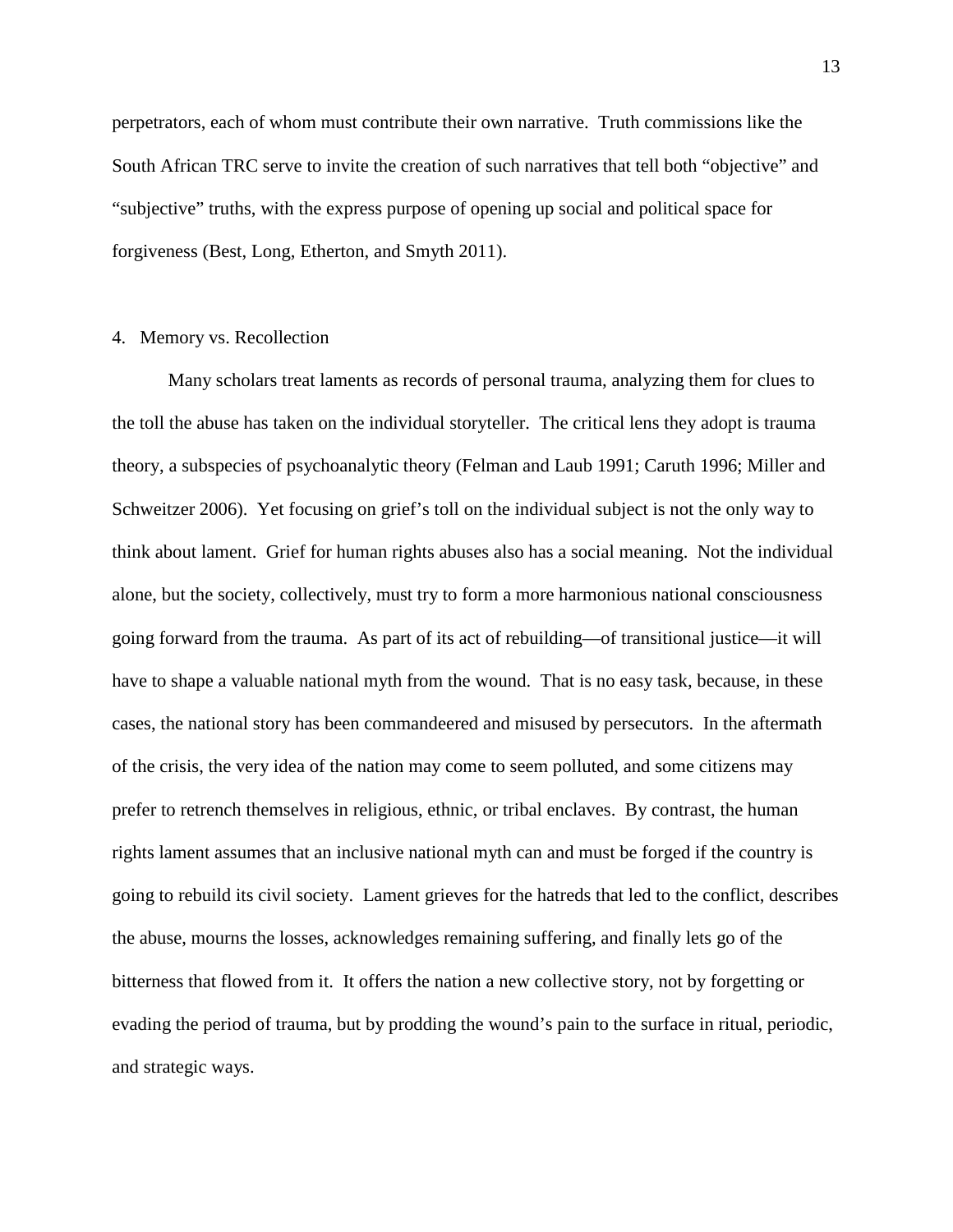perpetrators, each of whom must contribute their own narrative. Truth commissions like the South African TRC serve to invite the creation of such narratives that tell both "objective" and "subjective" truths, with the express purpose of opening up social and political space for forgiveness (Best, Long, Etherton, and Smyth 2011).

## 4. Memory vs. Recollection

Many scholars treat laments as records of personal trauma, analyzing them for clues to the toll the abuse has taken on the individual storyteller. The critical lens they adopt is trauma theory, a subspecies of psychoanalytic theory (Felman and Laub 1991; Caruth 1996; Miller and Schweitzer 2006). Yet focusing on grief's toll on the individual subject is not the only way to think about lament. Grief for human rights abuses also has a social meaning. Not the individual alone, but the society, collectively, must try to form a more harmonious national consciousness going forward from the trauma. As part of its act of rebuilding—of transitional justice—it will have to shape a valuable national myth from the wound. That is no easy task, because, in these cases, the national story has been commandeered and misused by persecutors. In the aftermath of the crisis, the very idea of the nation may come to seem polluted, and some citizens may prefer to retrench themselves in religious, ethnic, or tribal enclaves. By contrast, the human rights lament assumes that an inclusive national myth can and must be forged if the country is going to rebuild its civil society. Lament grieves for the hatreds that led to the conflict, describes the abuse, mourns the losses, acknowledges remaining suffering, and finally lets go of the bitterness that flowed from it. It offers the nation a new collective story, not by forgetting or evading the period of trauma, but by prodding the wound's pain to the surface in ritual, periodic, and strategic ways.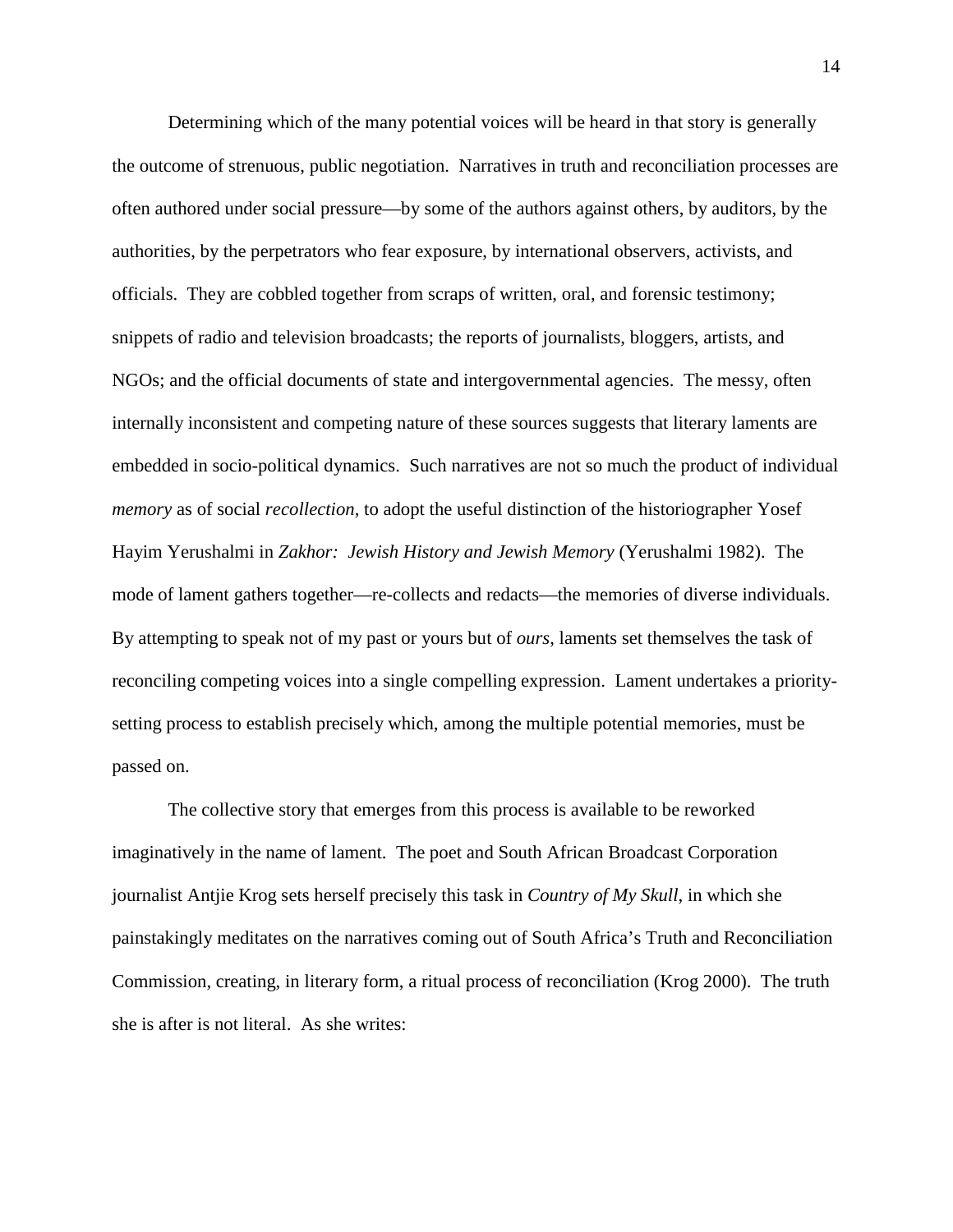Determining which of the many potential voices will be heard in that story is generally the outcome of strenuous, public negotiation. Narratives in truth and reconciliation processes are often authored under social pressure—by some of the authors against others, by auditors, by the authorities, by the perpetrators who fear exposure, by international observers, activists, and officials. They are cobbled together from scraps of written, oral, and forensic testimony; snippets of radio and television broadcasts; the reports of journalists, bloggers, artists, and NGOs; and the official documents of state and intergovernmental agencies. The messy, often internally inconsistent and competing nature of these sources suggests that literary laments are embedded in socio-political dynamics. Such narratives are not so much the product of individual *memory* as of social *recollection*, to adopt the useful distinction of the historiographer Yosef Hayim Yerushalmi in *Zakhor: Jewish History and Jewish Memory* (Yerushalmi 1982). The mode of lament gathers together—re-collects and redacts—the memories of diverse individuals. By attempting to speak not of my past or yours but of *ours*, laments set themselves the task of reconciling competing voices into a single compelling expression. Lament undertakes a prioritysetting process to establish precisely which, among the multiple potential memories, must be passed on.

The collective story that emerges from this process is available to be reworked imaginatively in the name of lament. The poet and South African Broadcast Corporation journalist Antjie Krog sets herself precisely this task in *Country of My Skull*, in which she painstakingly meditates on the narratives coming out of South Africa's Truth and Reconciliation Commission, creating, in literary form, a ritual process of reconciliation (Krog 2000). The truth she is after is not literal. As she writes: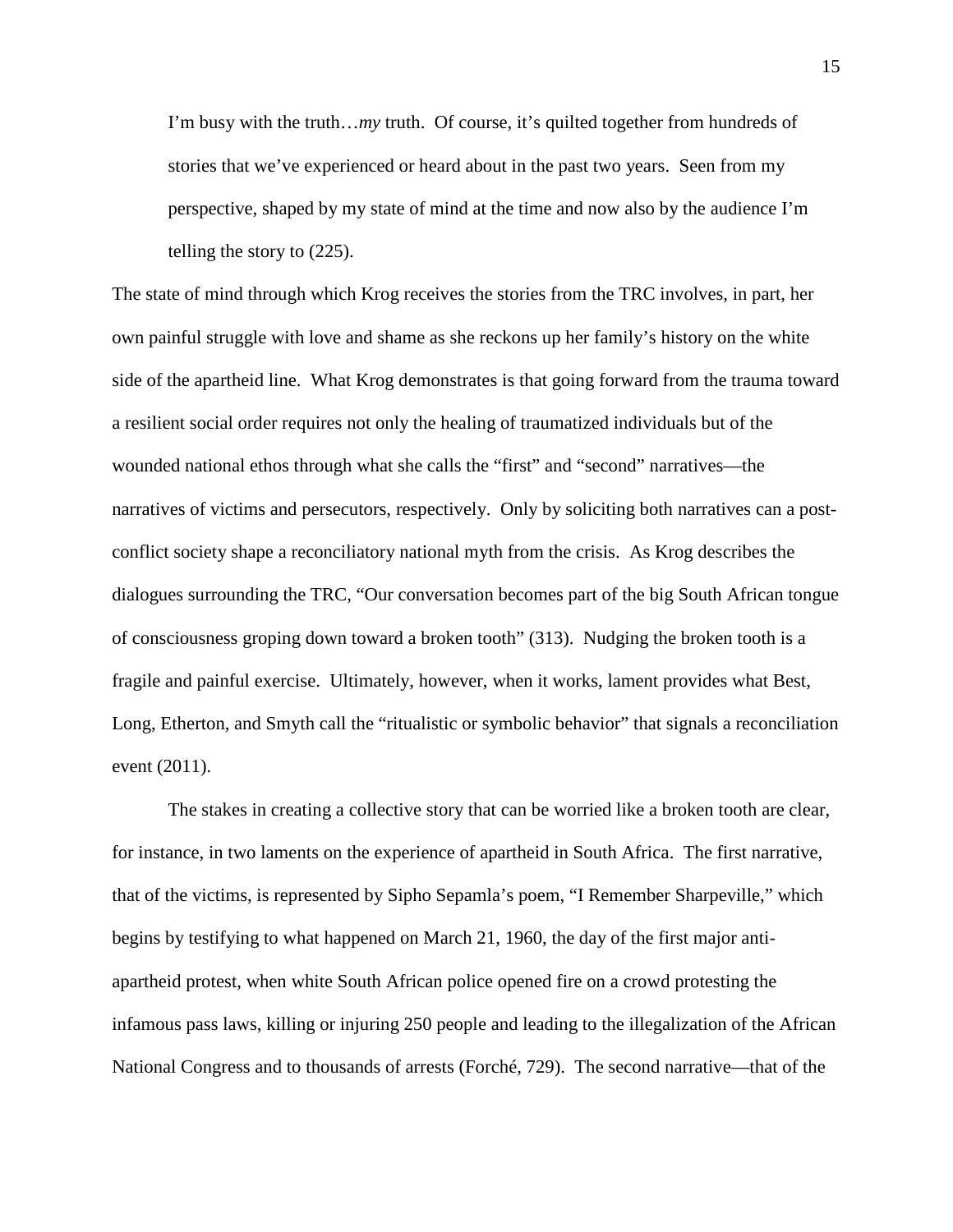I'm busy with the truth…*my* truth. Of course, it's quilted together from hundreds of stories that we've experienced or heard about in the past two years. Seen from my perspective, shaped by my state of mind at the time and now also by the audience I'm telling the story to (225).

The state of mind through which Krog receives the stories from the TRC involves, in part, her own painful struggle with love and shame as she reckons up her family's history on the white side of the apartheid line. What Krog demonstrates is that going forward from the trauma toward a resilient social order requires not only the healing of traumatized individuals but of the wounded national ethos through what she calls the "first" and "second" narratives—the narratives of victims and persecutors, respectively. Only by soliciting both narratives can a postconflict society shape a reconciliatory national myth from the crisis. As Krog describes the dialogues surrounding the TRC, "Our conversation becomes part of the big South African tongue of consciousness groping down toward a broken tooth" (313). Nudging the broken tooth is a fragile and painful exercise. Ultimately, however, when it works, lament provides what Best, Long, Etherton, and Smyth call the "ritualistic or symbolic behavior" that signals a reconciliation event (2011).

The stakes in creating a collective story that can be worried like a broken tooth are clear, for instance, in two laments on the experience of apartheid in South Africa. The first narrative, that of the victims, is represented by Sipho Sepamla's poem, "I Remember Sharpeville," which begins by testifying to what happened on March 21, 1960, the day of the first major antiapartheid protest, when white South African police opened fire on a crowd protesting the infamous pass laws, killing or injuring 250 people and leading to the illegalization of the African National Congress and to thousands of arrests (Forché, 729). The second narrative—that of the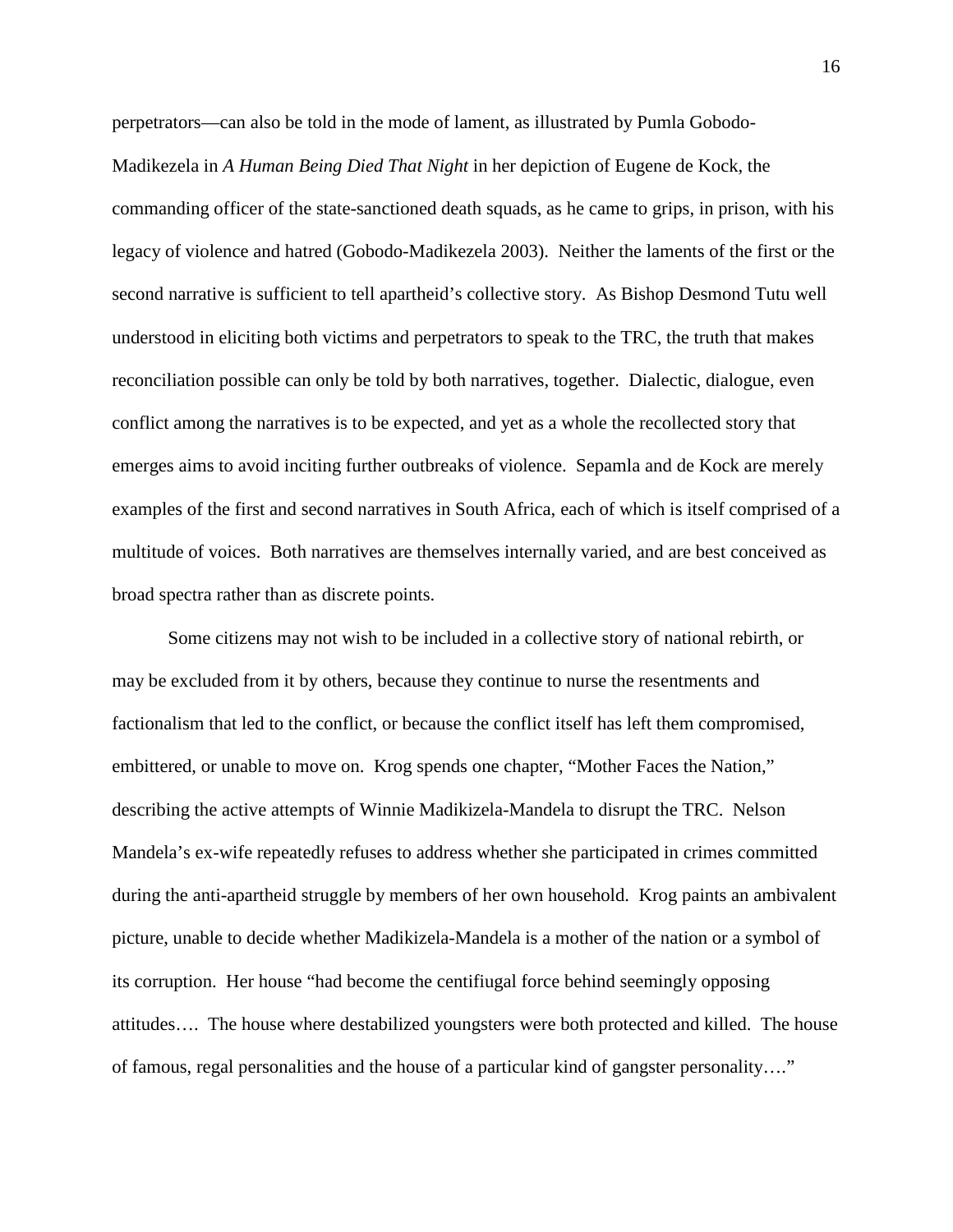perpetrators—can also be told in the mode of lament, as illustrated by Pumla Gobodo-Madikezela in *A Human Being Died That Night* in her depiction of Eugene de Kock, the commanding officer of the state-sanctioned death squads, as he came to grips, in prison, with his legacy of violence and hatred (Gobodo-Madikezela 2003). Neither the laments of the first or the second narrative is sufficient to tell apartheid's collective story. As Bishop Desmond Tutu well understood in eliciting both victims and perpetrators to speak to the TRC, the truth that makes reconciliation possible can only be told by both narratives, together. Dialectic, dialogue, even conflict among the narratives is to be expected, and yet as a whole the recollected story that emerges aims to avoid inciting further outbreaks of violence. Sepamla and de Kock are merely examples of the first and second narratives in South Africa, each of which is itself comprised of a multitude of voices. Both narratives are themselves internally varied, and are best conceived as broad spectra rather than as discrete points.

Some citizens may not wish to be included in a collective story of national rebirth, or may be excluded from it by others, because they continue to nurse the resentments and factionalism that led to the conflict, or because the conflict itself has left them compromised, embittered, or unable to move on. Krog spends one chapter, "Mother Faces the Nation," describing the active attempts of Winnie Madikizela-Mandela to disrupt the TRC. Nelson Mandela's ex-wife repeatedly refuses to address whether she participated in crimes committed during the anti-apartheid struggle by members of her own household. Krog paints an ambivalent picture, unable to decide whether Madikizela-Mandela is a mother of the nation or a symbol of its corruption. Her house "had become the centifiugal force behind seemingly opposing attitudes…. The house where destabilized youngsters were both protected and killed. The house of famous, regal personalities and the house of a particular kind of gangster personality…."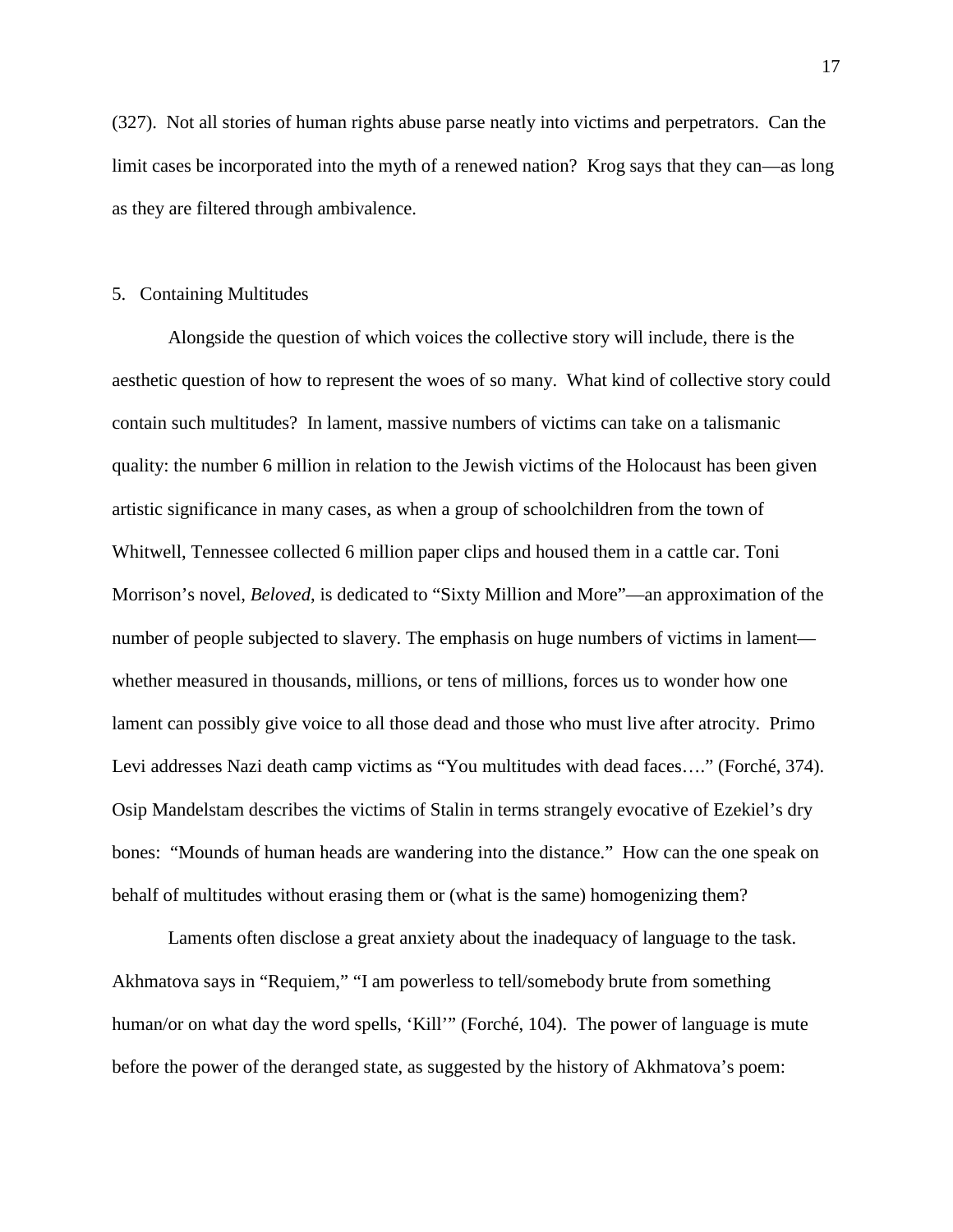(327). Not all stories of human rights abuse parse neatly into victims and perpetrators. Can the limit cases be incorporated into the myth of a renewed nation? Krog says that they can—as long as they are filtered through ambivalence.

### 5. Containing Multitudes

Alongside the question of which voices the collective story will include, there is the aesthetic question of how to represent the woes of so many. What kind of collective story could contain such multitudes? In lament, massive numbers of victims can take on a talismanic quality: the number 6 million in relation to the Jewish victims of the Holocaust has been given artistic significance in many cases, as when a group of schoolchildren from the town of Whitwell, Tennessee collected 6 million paper clips and housed them in a cattle car. Toni Morrison's novel, *Beloved*, is dedicated to "Sixty Million and More"—an approximation of the number of people subjected to slavery. The emphasis on huge numbers of victims in lament whether measured in thousands, millions, or tens of millions, forces us to wonder how one lament can possibly give voice to all those dead and those who must live after atrocity. Primo Levi addresses Nazi death camp victims as "You multitudes with dead faces…." (Forché, 374). Osip Mandelstam describes the victims of Stalin in terms strangely evocative of Ezekiel's dry bones: "Mounds of human heads are wandering into the distance." How can the one speak on behalf of multitudes without erasing them or (what is the same) homogenizing them?

Laments often disclose a great anxiety about the inadequacy of language to the task. Akhmatova says in "Requiem," "I am powerless to tell/somebody brute from something human/or on what day the word spells, 'Kill'" (Forché, 104). The power of language is mute before the power of the deranged state, as suggested by the history of Akhmatova's poem: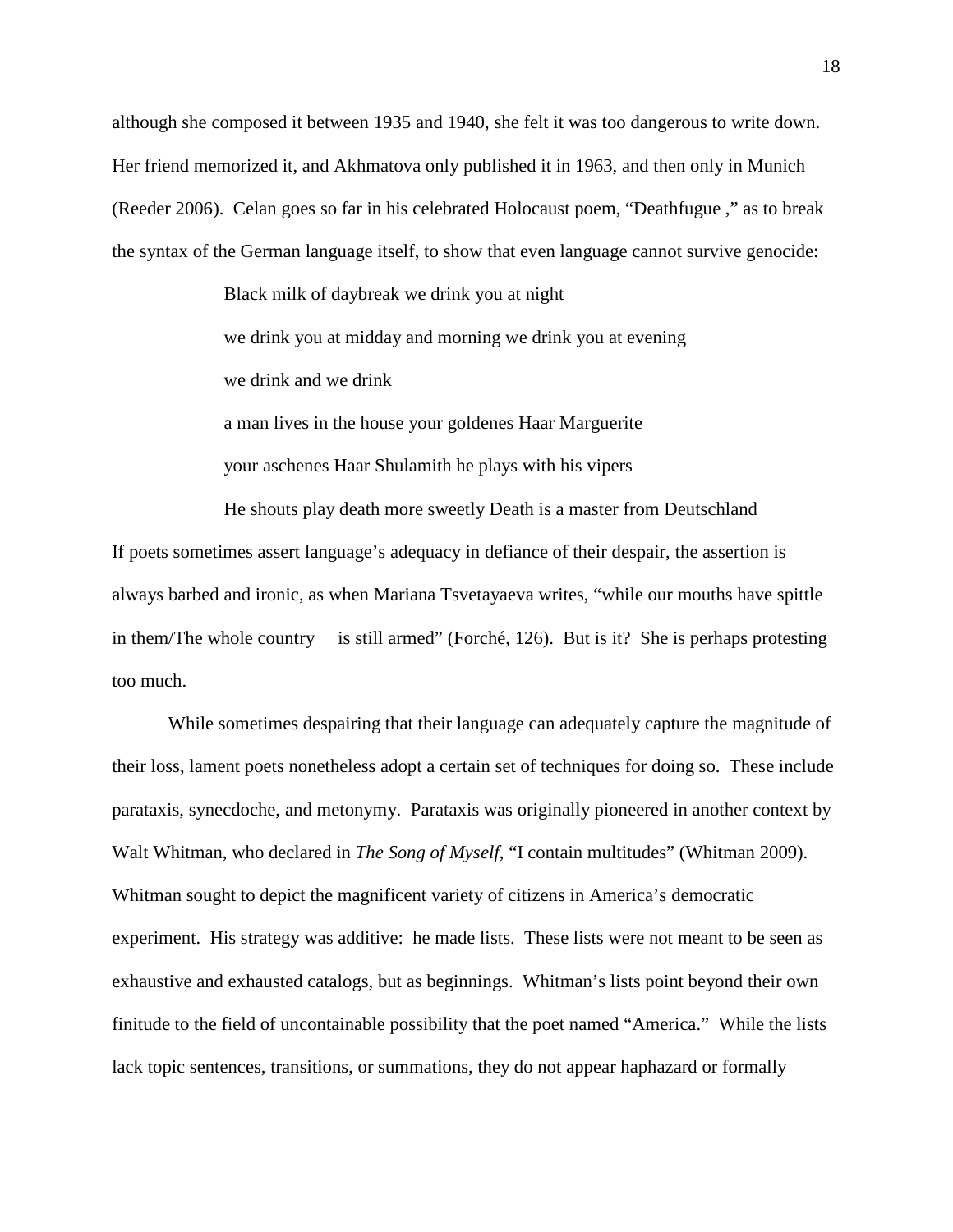although she composed it between 1935 and 1940, she felt it was too dangerous to write down. Her friend memorized it, and Akhmatova only published it in 1963, and then only in Munich (Reeder 2006). Celan goes so far in his celebrated Holocaust poem, "Deathfugue ," as to break the syntax of the German language itself, to show that even language cannot survive genocide:

> Black milk of daybreak we drink you at night we drink you at midday and morning we drink you at evening we drink and we drink a man lives in the house your goldenes Haar Marguerite your aschenes Haar Shulamith he plays with his vipers He shouts play death more sweetly Death is a master from Deutschland

If poets sometimes assert language's adequacy in defiance of their despair, the assertion is always barbed and ironic, as when Mariana Tsvetayaeva writes, "while our mouths have spittle in them/The whole country is still armed" (Forché, 126). But is it? She is perhaps protesting too much.

While sometimes despairing that their language can adequately capture the magnitude of their loss, lament poets nonetheless adopt a certain set of techniques for doing so. These include parataxis, synecdoche, and metonymy. Parataxis was originally pioneered in another context by Walt Whitman, who declared in *The Song of Myself*, "I contain multitudes" (Whitman 2009). Whitman sought to depict the magnificent variety of citizens in America's democratic experiment. His strategy was additive: he made lists. These lists were not meant to be seen as exhaustive and exhausted catalogs, but as beginnings. Whitman's lists point beyond their own finitude to the field of uncontainable possibility that the poet named "America." While the lists lack topic sentences, transitions, or summations, they do not appear haphazard or formally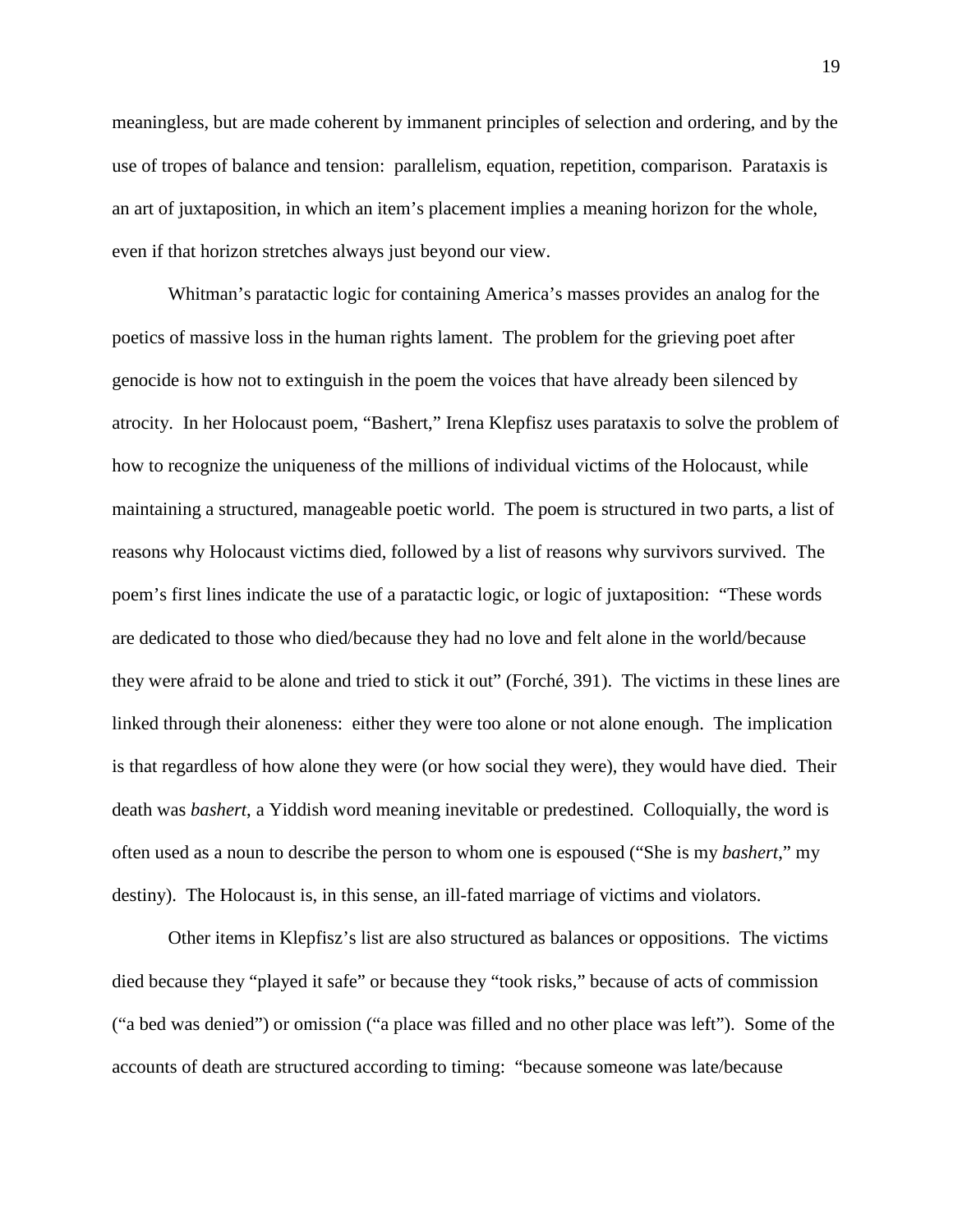meaningless, but are made coherent by immanent principles of selection and ordering, and by the use of tropes of balance and tension: parallelism, equation, repetition, comparison. Parataxis is an art of juxtaposition, in which an item's placement implies a meaning horizon for the whole, even if that horizon stretches always just beyond our view.

Whitman's paratactic logic for containing America's masses provides an analog for the poetics of massive loss in the human rights lament. The problem for the grieving poet after genocide is how not to extinguish in the poem the voices that have already been silenced by atrocity. In her Holocaust poem, "Bashert," Irena Klepfisz uses parataxis to solve the problem of how to recognize the uniqueness of the millions of individual victims of the Holocaust, while maintaining a structured, manageable poetic world. The poem is structured in two parts, a list of reasons why Holocaust victims died, followed by a list of reasons why survivors survived. The poem's first lines indicate the use of a paratactic logic, or logic of juxtaposition: "These words are dedicated to those who died/because they had no love and felt alone in the world/because they were afraid to be alone and tried to stick it out" (Forché, 391). The victims in these lines are linked through their aloneness: either they were too alone or not alone enough. The implication is that regardless of how alone they were (or how social they were), they would have died. Their death was *bashert*, a Yiddish word meaning inevitable or predestined. Colloquially, the word is often used as a noun to describe the person to whom one is espoused ("She is my *bashert*," my destiny). The Holocaust is, in this sense, an ill-fated marriage of victims and violators.

Other items in Klepfisz's list are also structured as balances or oppositions. The victims died because they "played it safe" or because they "took risks," because of acts of commission ("a bed was denied") or omission ("a place was filled and no other place was left"). Some of the accounts of death are structured according to timing: "because someone was late/because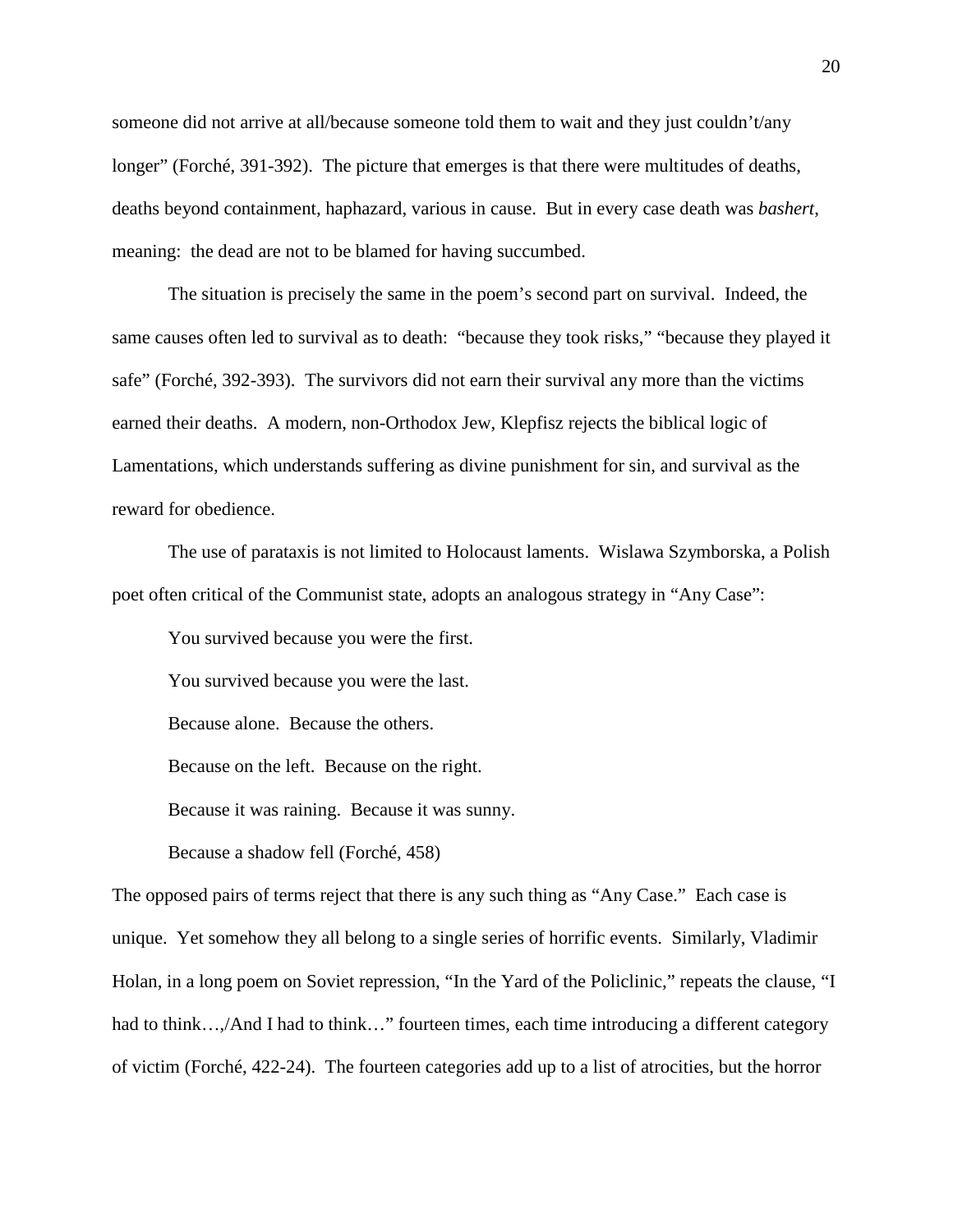someone did not arrive at all/because someone told them to wait and they just couldn't/any longer" (Forché, 391-392). The picture that emerges is that there were multitudes of deaths, deaths beyond containment, haphazard, various in cause. But in every case death was *bashert*, meaning: the dead are not to be blamed for having succumbed.

The situation is precisely the same in the poem's second part on survival. Indeed, the same causes often led to survival as to death: "because they took risks," "because they played it safe" (Forché, 392-393). The survivors did not earn their survival any more than the victims earned their deaths. A modern, non-Orthodox Jew, Klepfisz rejects the biblical logic of Lamentations, which understands suffering as divine punishment for sin, and survival as the reward for obedience.

The use of parataxis is not limited to Holocaust laments. Wislawa Szymborska, a Polish poet often critical of the Communist state, adopts an analogous strategy in "Any Case":

You survived because you were the first.

You survived because you were the last.

Because alone. Because the others.

Because on the left. Because on the right.

Because it was raining. Because it was sunny.

Because a shadow fell (Forché, 458)

The opposed pairs of terms reject that there is any such thing as "Any Case." Each case is unique. Yet somehow they all belong to a single series of horrific events. Similarly, Vladimir Holan, in a long poem on Soviet repression, "In the Yard of the Policlinic," repeats the clause, "I had to think…,/And I had to think…" fourteen times, each time introducing a different category of victim (Forché, 422-24). The fourteen categories add up to a list of atrocities, but the horror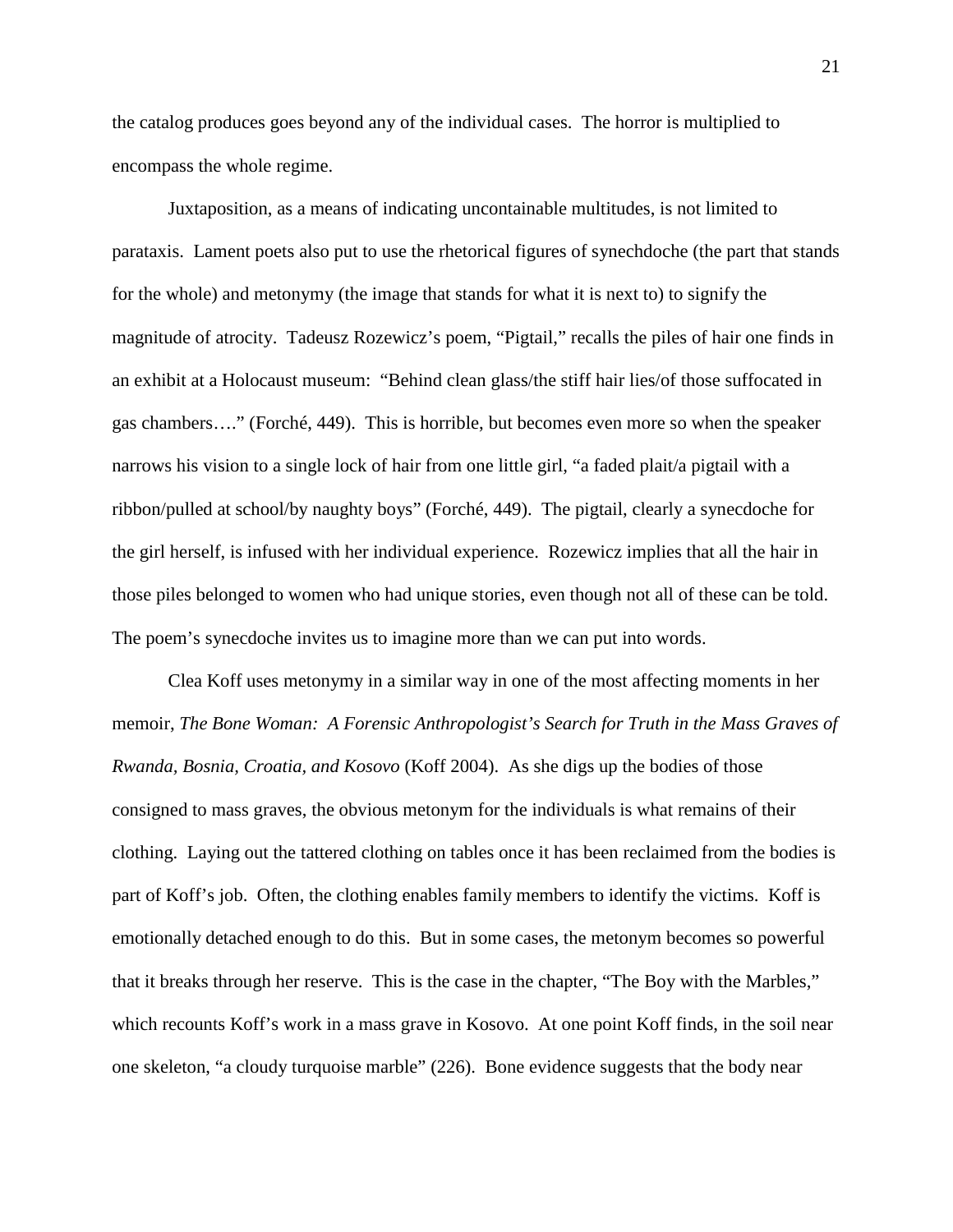the catalog produces goes beyond any of the individual cases. The horror is multiplied to encompass the whole regime.

Juxtaposition, as a means of indicating uncontainable multitudes, is not limited to parataxis. Lament poets also put to use the rhetorical figures of synechdoche (the part that stands for the whole) and metonymy (the image that stands for what it is next to) to signify the magnitude of atrocity. Tadeusz Rozewicz's poem, "Pigtail," recalls the piles of hair one finds in an exhibit at a Holocaust museum: "Behind clean glass/the stiff hair lies/of those suffocated in gas chambers…." (Forché, 449). This is horrible, but becomes even more so when the speaker narrows his vision to a single lock of hair from one little girl, "a faded plait/a pigtail with a ribbon/pulled at school/by naughty boys" (Forché, 449). The pigtail, clearly a synecdoche for the girl herself, is infused with her individual experience. Rozewicz implies that all the hair in those piles belonged to women who had unique stories, even though not all of these can be told. The poem's synecdoche invites us to imagine more than we can put into words.

Clea Koff uses metonymy in a similar way in one of the most affecting moments in her memoir, *The Bone Woman: A Forensic Anthropologist's Search for Truth in the Mass Graves of Rwanda, Bosnia, Croatia, and Kosovo* (Koff 2004). As she digs up the bodies of those consigned to mass graves, the obvious metonym for the individuals is what remains of their clothing. Laying out the tattered clothing on tables once it has been reclaimed from the bodies is part of Koff's job. Often, the clothing enables family members to identify the victims. Koff is emotionally detached enough to do this. But in some cases, the metonym becomes so powerful that it breaks through her reserve. This is the case in the chapter, "The Boy with the Marbles," which recounts Koff's work in a mass grave in Kosovo. At one point Koff finds, in the soil near one skeleton, "a cloudy turquoise marble" (226). Bone evidence suggests that the body near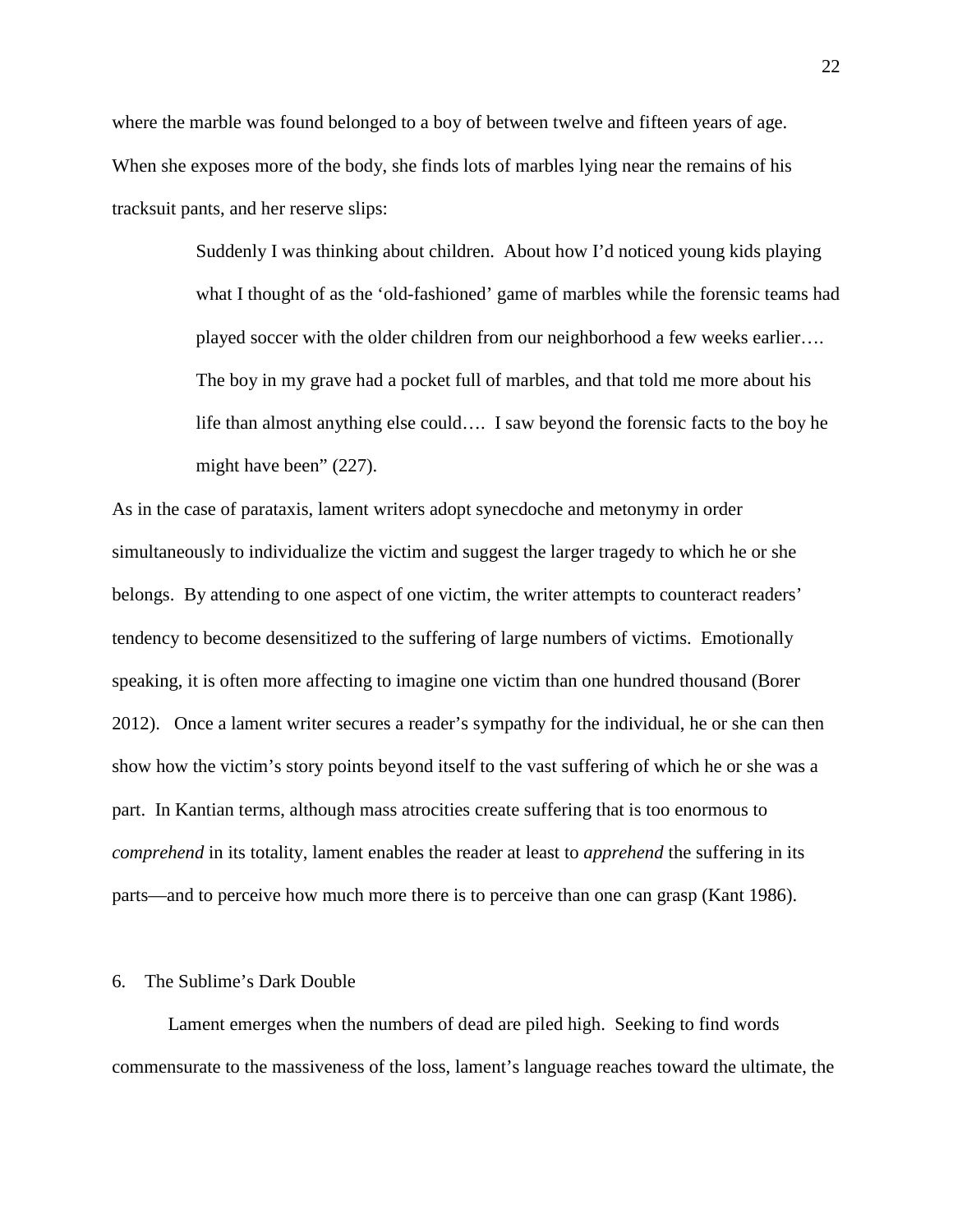where the marble was found belonged to a boy of between twelve and fifteen years of age. When she exposes more of the body, she finds lots of marbles lying near the remains of his tracksuit pants, and her reserve slips:

> Suddenly I was thinking about children. About how I'd noticed young kids playing what I thought of as the 'old-fashioned' game of marbles while the forensic teams had played soccer with the older children from our neighborhood a few weeks earlier…. The boy in my grave had a pocket full of marbles, and that told me more about his life than almost anything else could…. I saw beyond the forensic facts to the boy he might have been" (227).

As in the case of parataxis, lament writers adopt synecdoche and metonymy in order simultaneously to individualize the victim and suggest the larger tragedy to which he or she belongs. By attending to one aspect of one victim, the writer attempts to counteract readers' tendency to become desensitized to the suffering of large numbers of victims. Emotionally speaking, it is often more affecting to imagine one victim than one hundred thousand (Borer 2012). Once a lament writer secures a reader's sympathy for the individual, he or she can then show how the victim's story points beyond itself to the vast suffering of which he or she was a part. In Kantian terms, although mass atrocities create suffering that is too enormous to *comprehend* in its totality, lament enables the reader at least to *apprehend* the suffering in its parts—and to perceive how much more there is to perceive than one can grasp (Kant 1986).

#### 6. The Sublime's Dark Double

Lament emerges when the numbers of dead are piled high. Seeking to find words commensurate to the massiveness of the loss, lament's language reaches toward the ultimate, the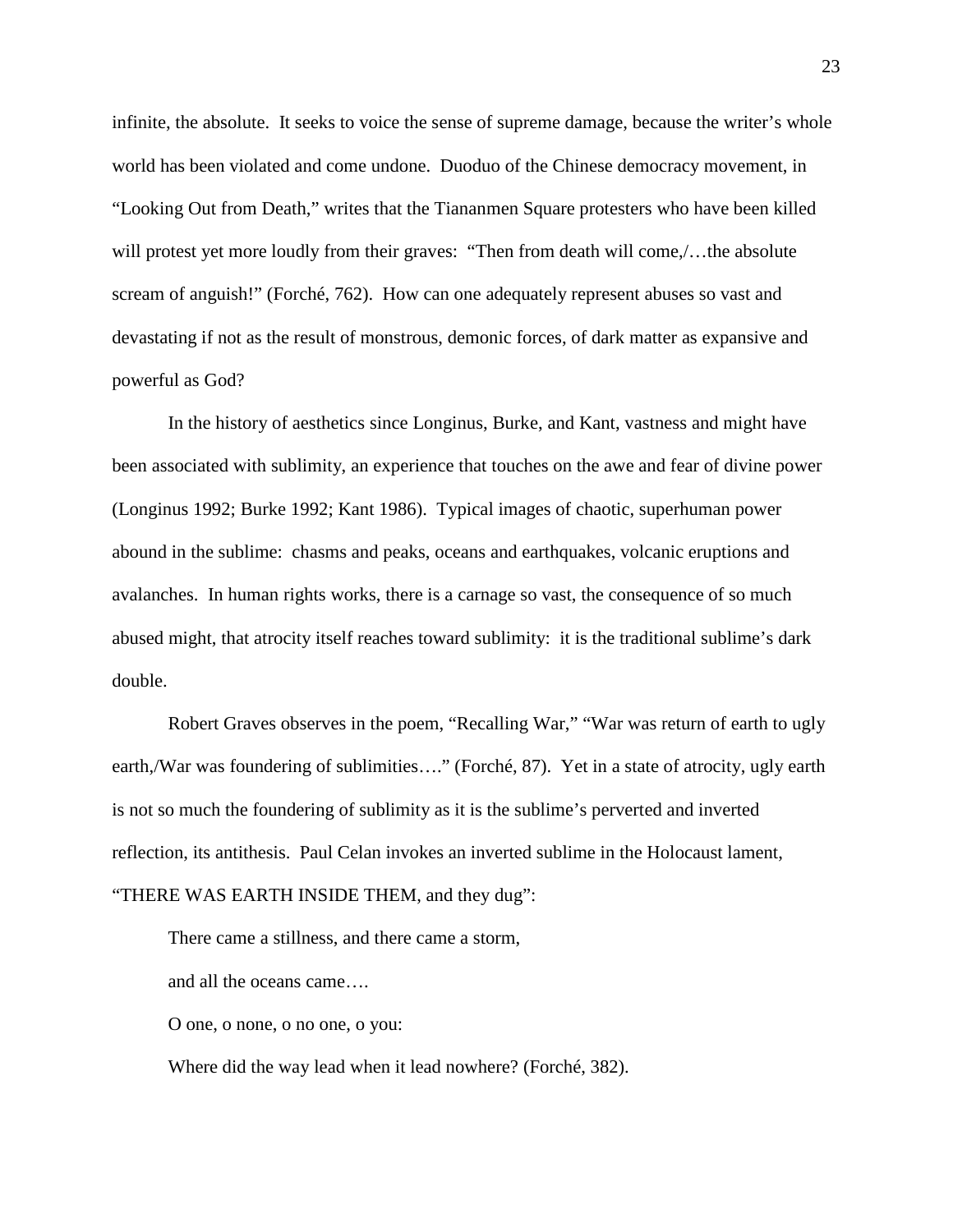infinite, the absolute. It seeks to voice the sense of supreme damage, because the writer's whole world has been violated and come undone. Duoduo of the Chinese democracy movement, in "Looking Out from Death," writes that the Tiananmen Square protesters who have been killed will protest yet more loudly from their graves: "Then from death will come,...the absolute scream of anguish!" (Forché, 762). How can one adequately represent abuses so vast and devastating if not as the result of monstrous, demonic forces, of dark matter as expansive and powerful as God?

In the history of aesthetics since Longinus, Burke, and Kant, vastness and might have been associated with sublimity, an experience that touches on the awe and fear of divine power (Longinus 1992; Burke 1992; Kant 1986). Typical images of chaotic, superhuman power abound in the sublime: chasms and peaks, oceans and earthquakes, volcanic eruptions and avalanches. In human rights works, there is a carnage so vast, the consequence of so much abused might, that atrocity itself reaches toward sublimity: it is the traditional sublime's dark double.

Robert Graves observes in the poem, "Recalling War," "War was return of earth to ugly earth,/War was foundering of sublimities…." (Forché, 87). Yet in a state of atrocity, ugly earth is not so much the foundering of sublimity as it is the sublime's perverted and inverted reflection, its antithesis. Paul Celan invokes an inverted sublime in the Holocaust lament, "THERE WAS EARTH INSIDE THEM, and they dug":

There came a stillness, and there came a storm,

and all the oceans came….

O one, o none, o no one, o you:

Where did the way lead when it lead nowhere? (Forché, 382).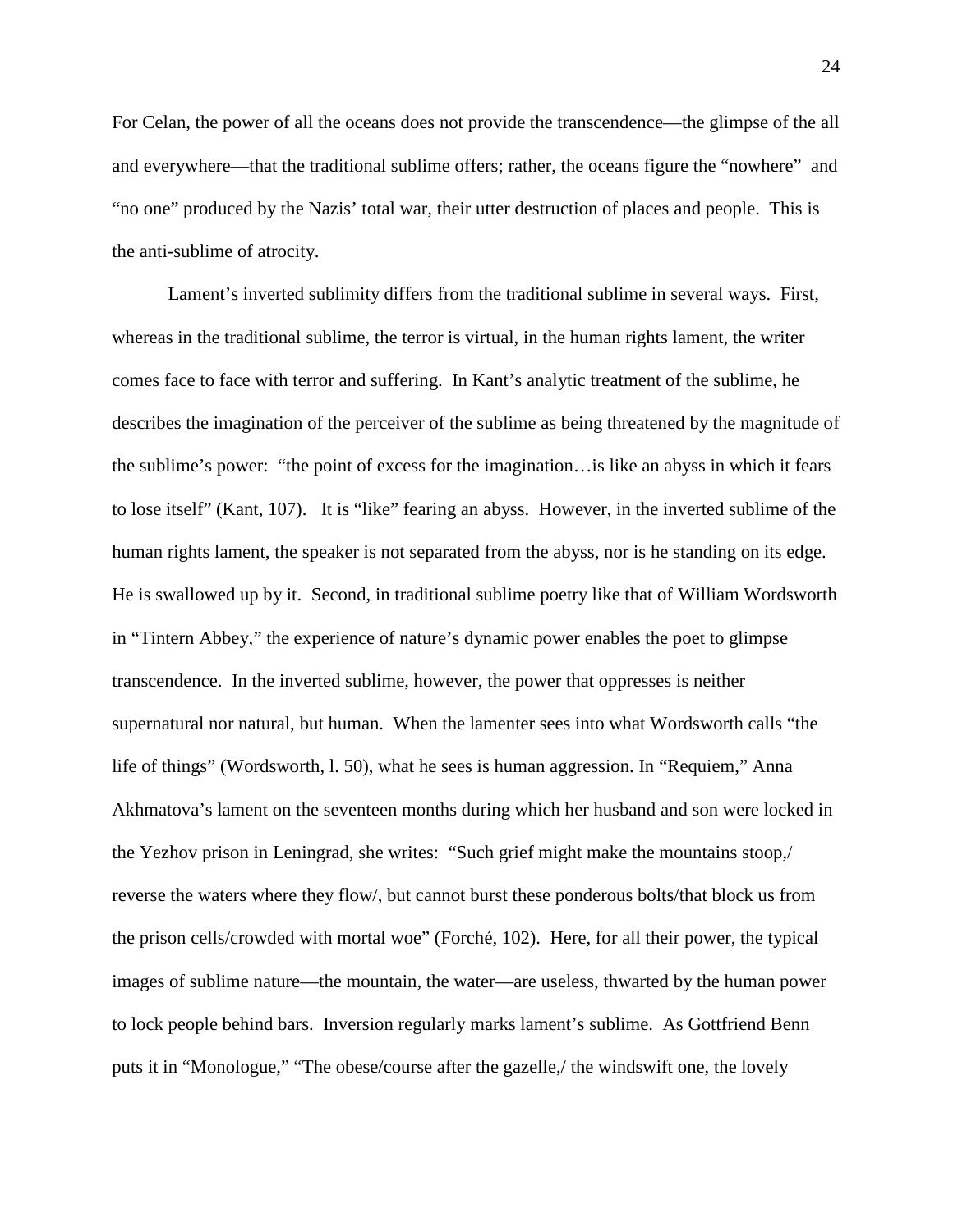For Celan, the power of all the oceans does not provide the transcendence—the glimpse of the all and everywhere—that the traditional sublime offers; rather, the oceans figure the "nowhere" and "no one" produced by the Nazis' total war, their utter destruction of places and people. This is the anti-sublime of atrocity.

Lament's inverted sublimity differs from the traditional sublime in several ways. First, whereas in the traditional sublime, the terror is virtual, in the human rights lament, the writer comes face to face with terror and suffering. In Kant's analytic treatment of the sublime, he describes the imagination of the perceiver of the sublime as being threatened by the magnitude of the sublime's power: "the point of excess for the imagination…is like an abyss in which it fears to lose itself" (Kant, 107). It is "like" fearing an abyss. However, in the inverted sublime of the human rights lament, the speaker is not separated from the abyss, nor is he standing on its edge. He is swallowed up by it. Second, in traditional sublime poetry like that of William Wordsworth in "Tintern Abbey," the experience of nature's dynamic power enables the poet to glimpse transcendence. In the inverted sublime, however, the power that oppresses is neither supernatural nor natural, but human. When the lamenter sees into what Wordsworth calls "the life of things" (Wordsworth, l. 50), what he sees is human aggression. In "Requiem," Anna Akhmatova's lament on the seventeen months during which her husband and son were locked in the Yezhov prison in Leningrad, she writes: "Such grief might make the mountains stoop,/ reverse the waters where they flow/, but cannot burst these ponderous bolts/that block us from the prison cells/crowded with mortal woe" (Forché, 102). Here, for all their power, the typical images of sublime nature—the mountain, the water—are useless, thwarted by the human power to lock people behind bars. Inversion regularly marks lament's sublime. As Gottfriend Benn puts it in "Monologue," "The obese/course after the gazelle,/ the windswift one, the lovely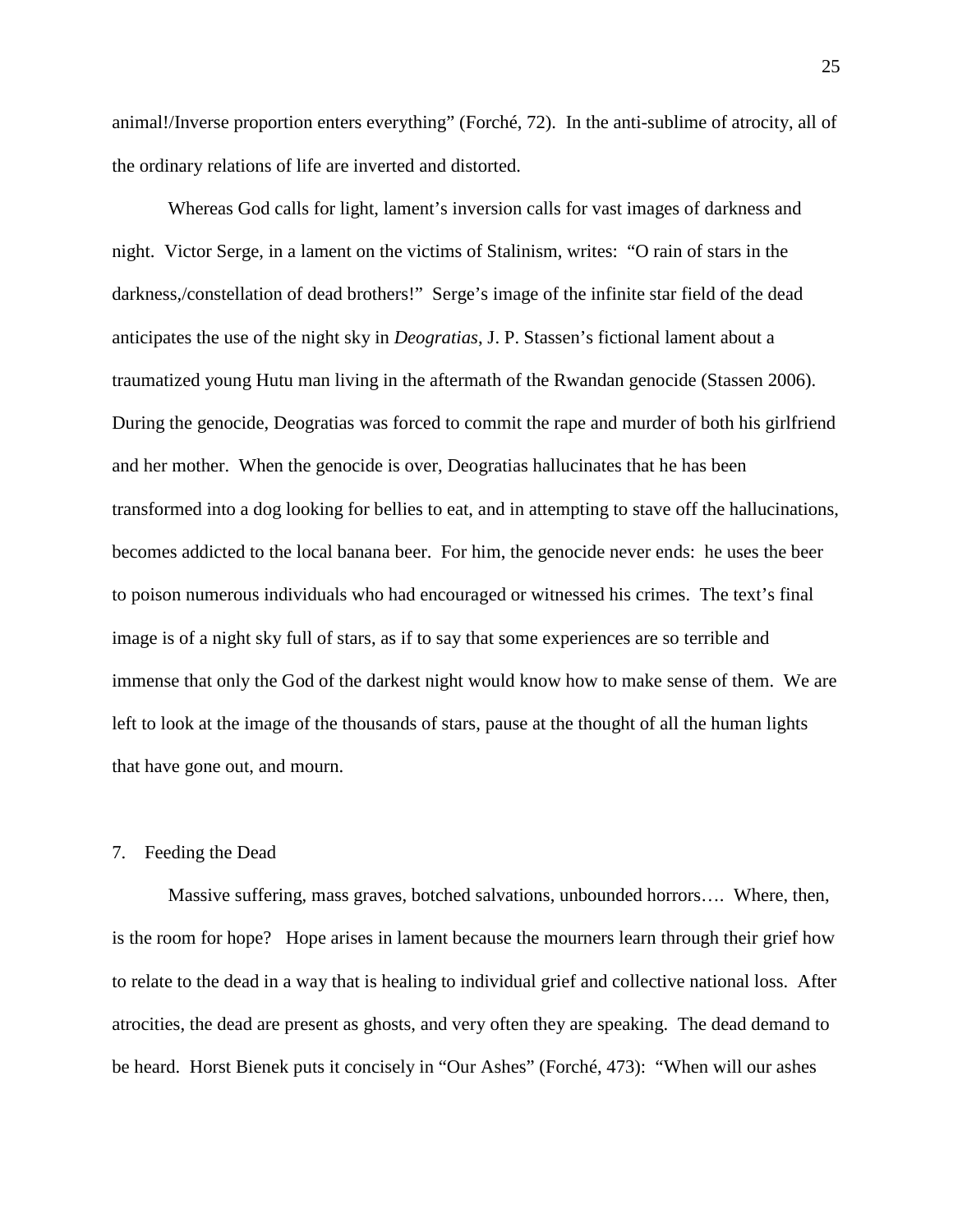animal!/Inverse proportion enters everything" (Forché, 72). In the anti-sublime of atrocity, all of the ordinary relations of life are inverted and distorted.

Whereas God calls for light, lament's inversion calls for vast images of darkness and night. Victor Serge, in a lament on the victims of Stalinism, writes: "O rain of stars in the darkness,/constellation of dead brothers!" Serge's image of the infinite star field of the dead anticipates the use of the night sky in *Deogratias*, J. P. Stassen's fictional lament about a traumatized young Hutu man living in the aftermath of the Rwandan genocide (Stassen 2006). During the genocide, Deogratias was forced to commit the rape and murder of both his girlfriend and her mother. When the genocide is over, Deogratias hallucinates that he has been transformed into a dog looking for bellies to eat, and in attempting to stave off the hallucinations, becomes addicted to the local banana beer. For him, the genocide never ends: he uses the beer to poison numerous individuals who had encouraged or witnessed his crimes. The text's final image is of a night sky full of stars, as if to say that some experiences are so terrible and immense that only the God of the darkest night would know how to make sense of them. We are left to look at the image of the thousands of stars, pause at the thought of all the human lights that have gone out, and mourn.

#### 7. Feeding the Dead

Massive suffering, mass graves, botched salvations, unbounded horrors…. Where, then, is the room for hope? Hope arises in lament because the mourners learn through their grief how to relate to the dead in a way that is healing to individual grief and collective national loss. After atrocities, the dead are present as ghosts, and very often they are speaking. The dead demand to be heard. Horst Bienek puts it concisely in "Our Ashes" (Forché, 473): "When will our ashes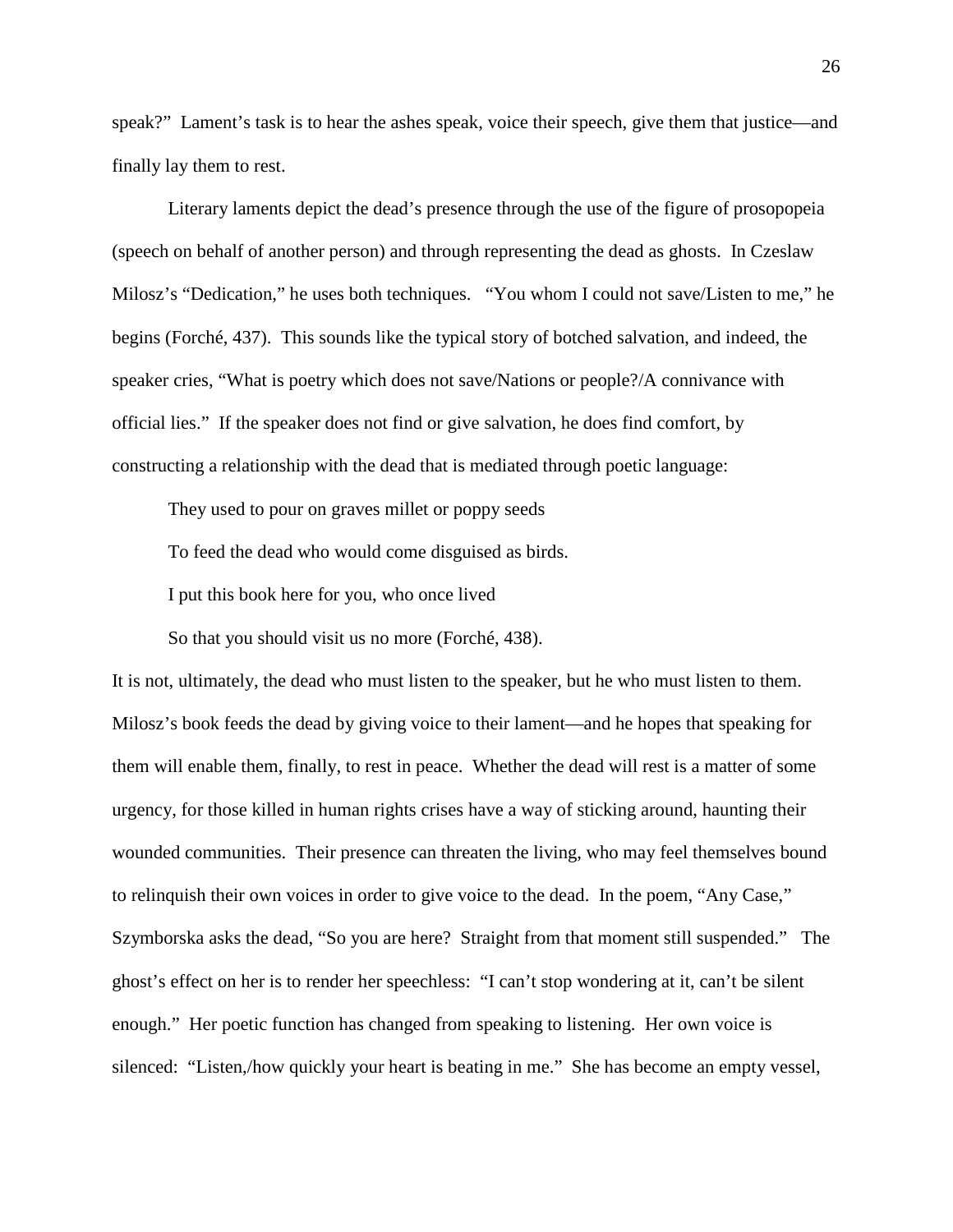speak?" Lament's task is to hear the ashes speak, voice their speech, give them that justice—and finally lay them to rest.

Literary laments depict the dead's presence through the use of the figure of prosopopeia (speech on behalf of another person) and through representing the dead as ghosts. In Czeslaw Milosz's "Dedication," he uses both techniques. "You whom I could not save/Listen to me," he begins (Forché, 437). This sounds like the typical story of botched salvation, and indeed, the speaker cries, "What is poetry which does not save/Nations or people?/A connivance with official lies." If the speaker does not find or give salvation, he does find comfort, by constructing a relationship with the dead that is mediated through poetic language:

They used to pour on graves millet or poppy seeds

To feed the dead who would come disguised as birds.

I put this book here for you, who once lived

So that you should visit us no more (Forché, 438).

It is not, ultimately, the dead who must listen to the speaker, but he who must listen to them. Milosz's book feeds the dead by giving voice to their lament—and he hopes that speaking for them will enable them, finally, to rest in peace. Whether the dead will rest is a matter of some urgency, for those killed in human rights crises have a way of sticking around, haunting their wounded communities. Their presence can threaten the living, who may feel themselves bound to relinquish their own voices in order to give voice to the dead. In the poem, "Any Case," Szymborska asks the dead, "So you are here? Straight from that moment still suspended." The ghost's effect on her is to render her speechless: "I can't stop wondering at it, can't be silent enough." Her poetic function has changed from speaking to listening. Her own voice is silenced: "Listen,/how quickly your heart is beating in me." She has become an empty vessel,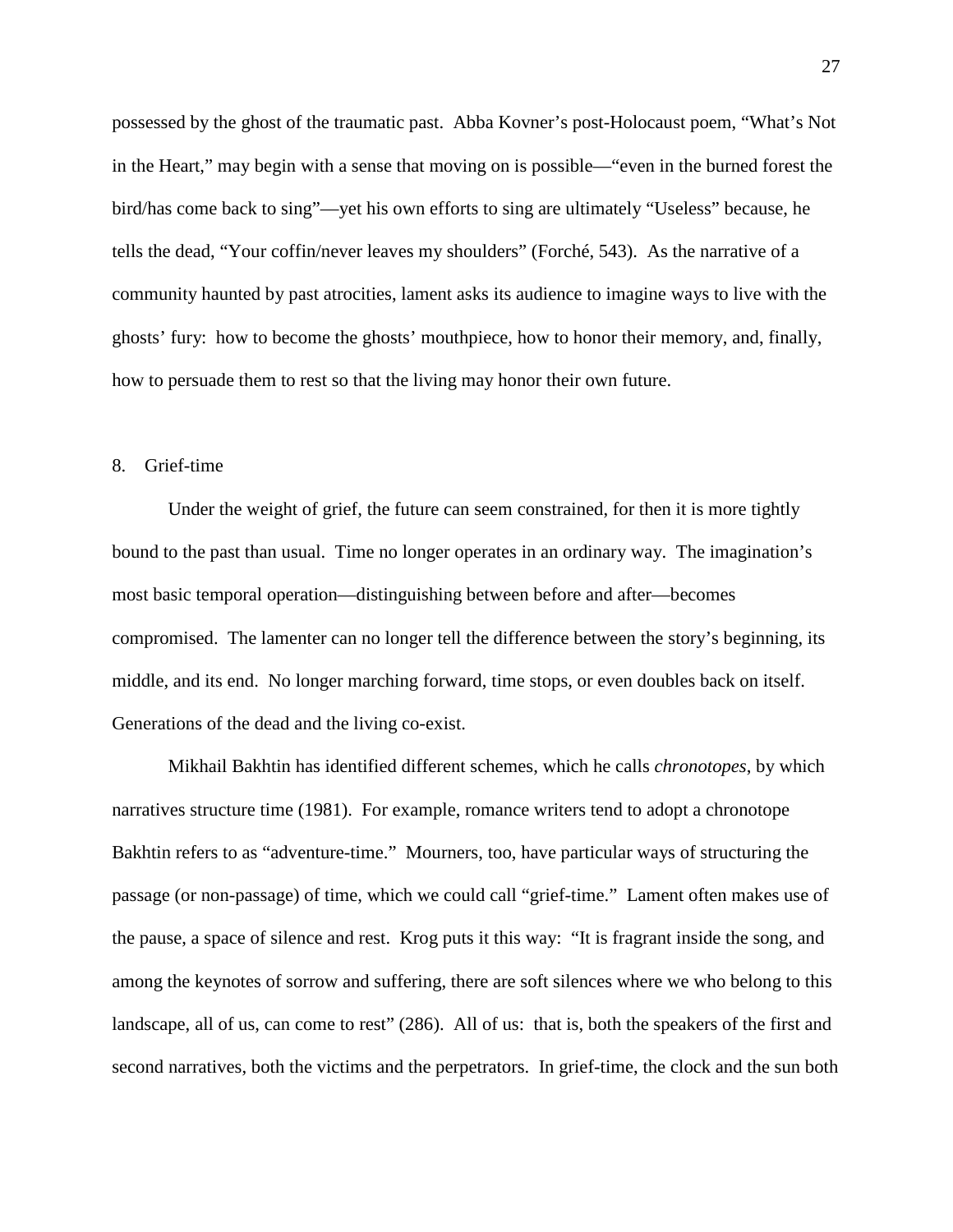possessed by the ghost of the traumatic past. Abba Kovner's post-Holocaust poem, "What's Not in the Heart," may begin with a sense that moving on is possible—"even in the burned forest the bird/has come back to sing"—yet his own efforts to sing are ultimately "Useless" because, he tells the dead, "Your coffin/never leaves my shoulders" (Forché, 543). As the narrative of a community haunted by past atrocities, lament asks its audience to imagine ways to live with the ghosts' fury: how to become the ghosts' mouthpiece, how to honor their memory, and, finally, how to persuade them to rest so that the living may honor their own future.

### 8. Grief-time

Under the weight of grief, the future can seem constrained, for then it is more tightly bound to the past than usual. Time no longer operates in an ordinary way. The imagination's most basic temporal operation—distinguishing between before and after—becomes compromised. The lamenter can no longer tell the difference between the story's beginning, its middle, and its end. No longer marching forward, time stops, or even doubles back on itself. Generations of the dead and the living co-exist.

Mikhail Bakhtin has identified different schemes, which he calls *chronotopes*, by which narratives structure time (1981). For example, romance writers tend to adopt a chronotope Bakhtin refers to as "adventure-time." Mourners, too, have particular ways of structuring the passage (or non-passage) of time, which we could call "grief-time." Lament often makes use of the pause, a space of silence and rest. Krog puts it this way: "It is fragrant inside the song, and among the keynotes of sorrow and suffering, there are soft silences where we who belong to this landscape, all of us, can come to rest" (286). All of us: that is, both the speakers of the first and second narratives, both the victims and the perpetrators. In grief-time, the clock and the sun both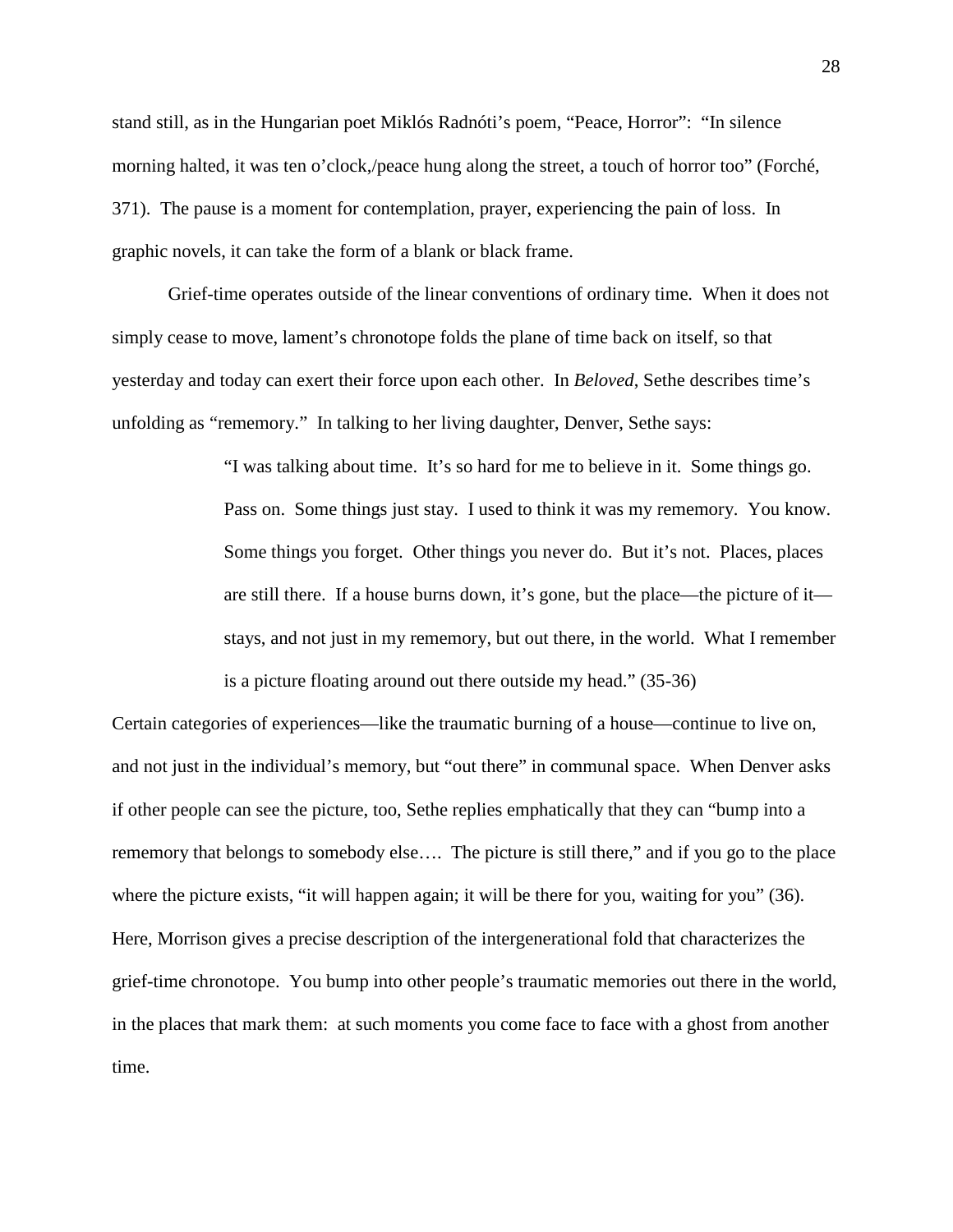stand still, as in the Hungarian poet Miklós Radnóti's poem, "Peace, Horror": "In silence morning halted, it was ten o'clock,/peace hung along the street, a touch of horror too" (Forché, 371). The pause is a moment for contemplation, prayer, experiencing the pain of loss. In graphic novels, it can take the form of a blank or black frame.

Grief-time operates outside of the linear conventions of ordinary time. When it does not simply cease to move, lament's chronotope folds the plane of time back on itself, so that yesterday and today can exert their force upon each other. In *Beloved*, Sethe describes time's unfolding as "rememory." In talking to her living daughter, Denver, Sethe says:

> "I was talking about time. It's so hard for me to believe in it. Some things go. Pass on. Some things just stay. I used to think it was my rememory. You know. Some things you forget. Other things you never do. But it's not. Places, places are still there. If a house burns down, it's gone, but the place—the picture of it stays, and not just in my rememory, but out there, in the world. What I remember is a picture floating around out there outside my head." (35-36)

Certain categories of experiences—like the traumatic burning of a house—continue to live on, and not just in the individual's memory, but "out there" in communal space. When Denver asks if other people can see the picture, too, Sethe replies emphatically that they can "bump into a rememory that belongs to somebody else…. The picture is still there," and if you go to the place where the picture exists, "it will happen again; it will be there for you, waiting for you" (36). Here, Morrison gives a precise description of the intergenerational fold that characterizes the grief-time chronotope. You bump into other people's traumatic memories out there in the world, in the places that mark them: at such moments you come face to face with a ghost from another time.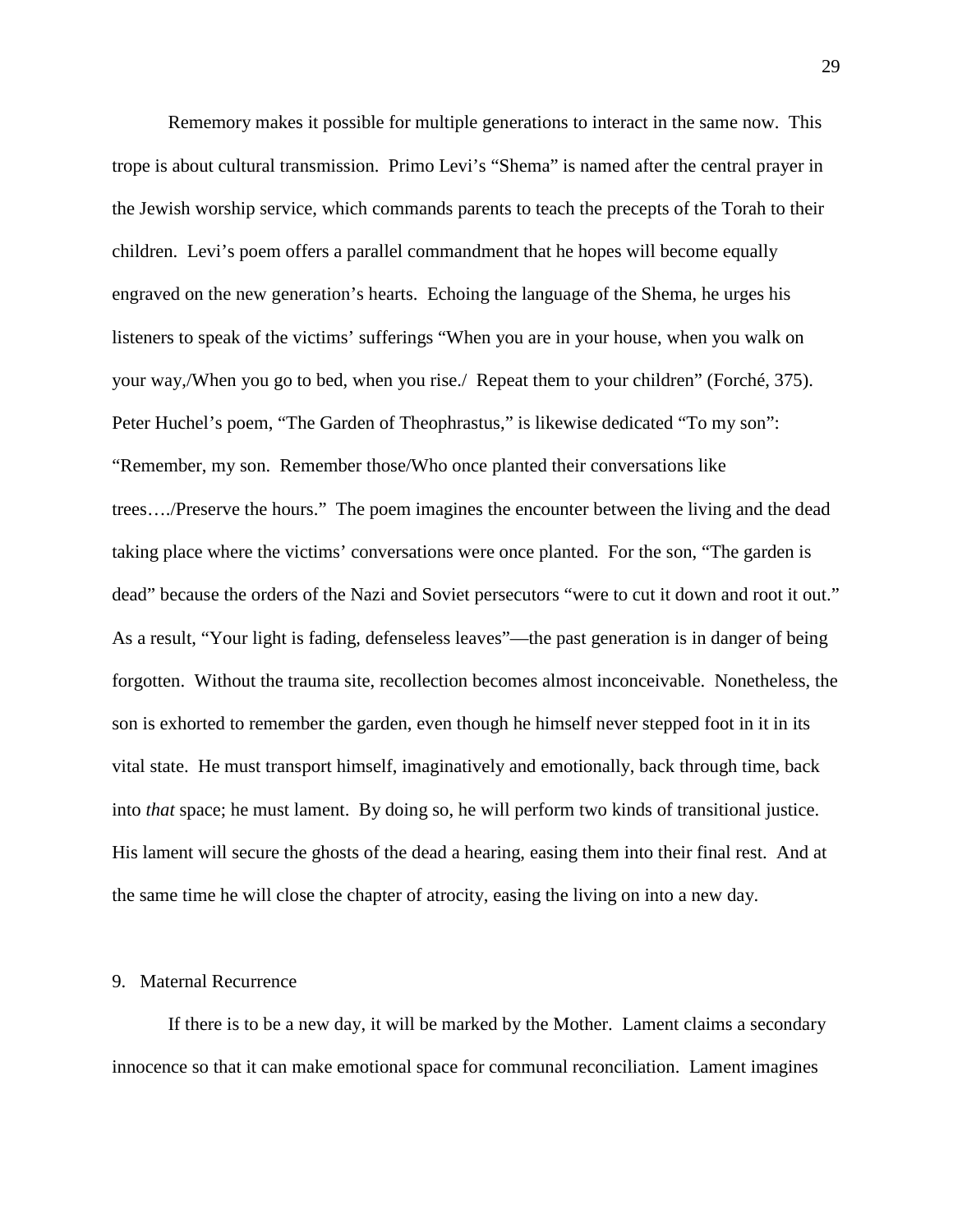Rememory makes it possible for multiple generations to interact in the same now. This trope is about cultural transmission. Primo Levi's "Shema" is named after the central prayer in the Jewish worship service, which commands parents to teach the precepts of the Torah to their children. Levi's poem offers a parallel commandment that he hopes will become equally engraved on the new generation's hearts. Echoing the language of the Shema, he urges his listeners to speak of the victims' sufferings "When you are in your house, when you walk on your way,/When you go to bed, when you rise./ Repeat them to your children" (Forché, 375). Peter Huchel's poem, "The Garden of Theophrastus," is likewise dedicated "To my son": "Remember, my son. Remember those/Who once planted their conversations like trees…./Preserve the hours." The poem imagines the encounter between the living and the dead taking place where the victims' conversations were once planted. For the son, "The garden is dead" because the orders of the Nazi and Soviet persecutors "were to cut it down and root it out." As a result, "Your light is fading, defenseless leaves"—the past generation is in danger of being forgotten. Without the trauma site, recollection becomes almost inconceivable. Nonetheless, the son is exhorted to remember the garden, even though he himself never stepped foot in it in its vital state. He must transport himself, imaginatively and emotionally, back through time, back into *that* space; he must lament. By doing so, he will perform two kinds of transitional justice. His lament will secure the ghosts of the dead a hearing, easing them into their final rest. And at the same time he will close the chapter of atrocity, easing the living on into a new day.

## 9. Maternal Recurrence

If there is to be a new day, it will be marked by the Mother. Lament claims a secondary innocence so that it can make emotional space for communal reconciliation. Lament imagines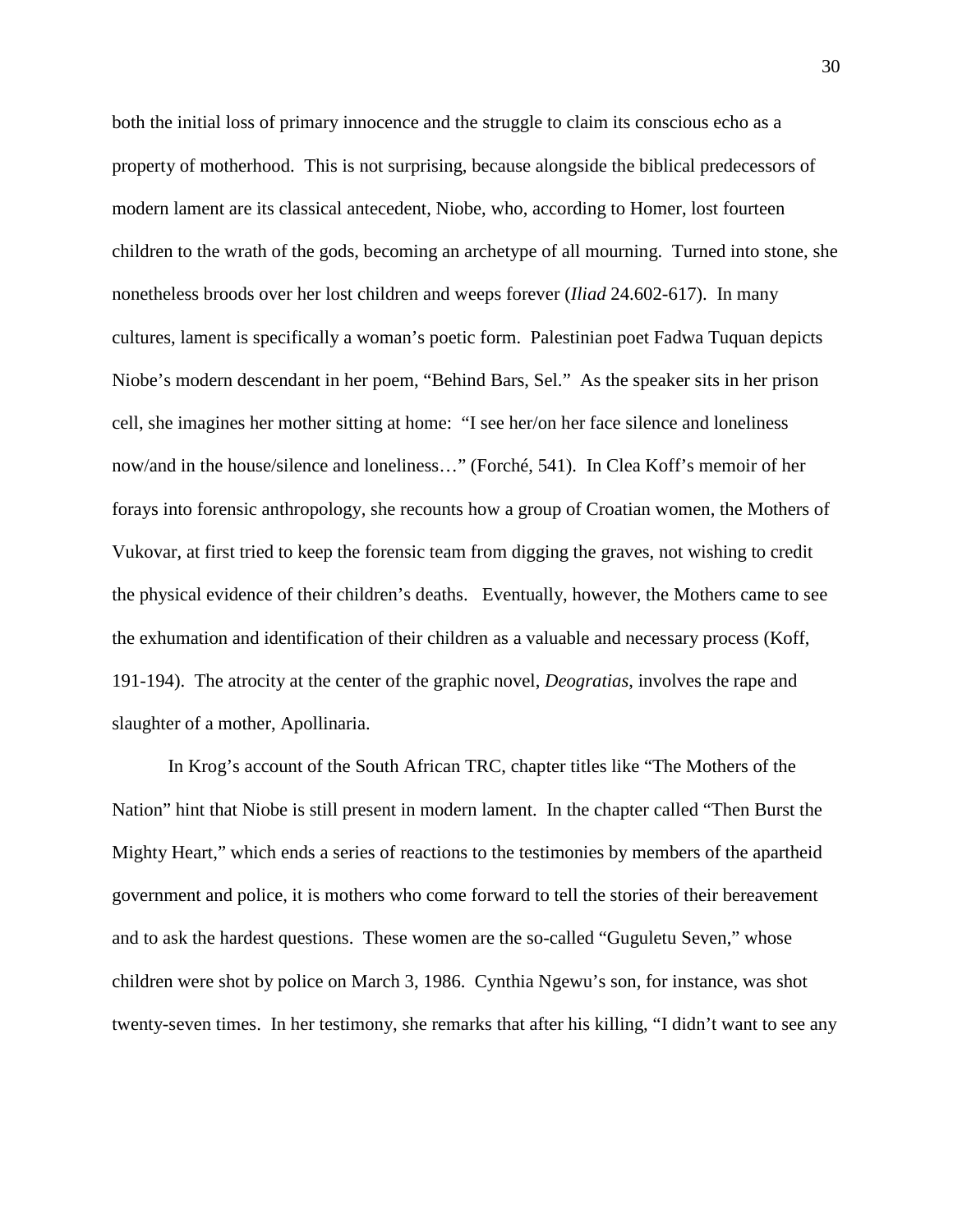both the initial loss of primary innocence and the struggle to claim its conscious echo as a property of motherhood. This is not surprising, because alongside the biblical predecessors of modern lament are its classical antecedent, Niobe, who, according to Homer, lost fourteen children to the wrath of the gods, becoming an archetype of all mourning. Turned into stone, she nonetheless broods over her lost children and weeps forever (*Iliad* 24.602-617). In many cultures, lament is specifically a woman's poetic form. Palestinian poet Fadwa Tuquan depicts Niobe's modern descendant in her poem, "Behind Bars, Sel." As the speaker sits in her prison cell, she imagines her mother sitting at home: "I see her/on her face silence and loneliness now/and in the house/silence and loneliness…" (Forché, 541). In Clea Koff's memoir of her forays into forensic anthropology, she recounts how a group of Croatian women, the Mothers of Vukovar, at first tried to keep the forensic team from digging the graves, not wishing to credit the physical evidence of their children's deaths. Eventually, however, the Mothers came to see the exhumation and identification of their children as a valuable and necessary process (Koff, 191-194). The atrocity at the center of the graphic novel, *Deogratias*, involves the rape and slaughter of a mother, Apollinaria.

In Krog's account of the South African TRC, chapter titles like "The Mothers of the Nation" hint that Niobe is still present in modern lament. In the chapter called "Then Burst the Mighty Heart," which ends a series of reactions to the testimonies by members of the apartheid government and police, it is mothers who come forward to tell the stories of their bereavement and to ask the hardest questions. These women are the so-called "Guguletu Seven," whose children were shot by police on March 3, 1986. Cynthia Ngewu's son, for instance, was shot twenty-seven times. In her testimony, she remarks that after his killing, "I didn't want to see any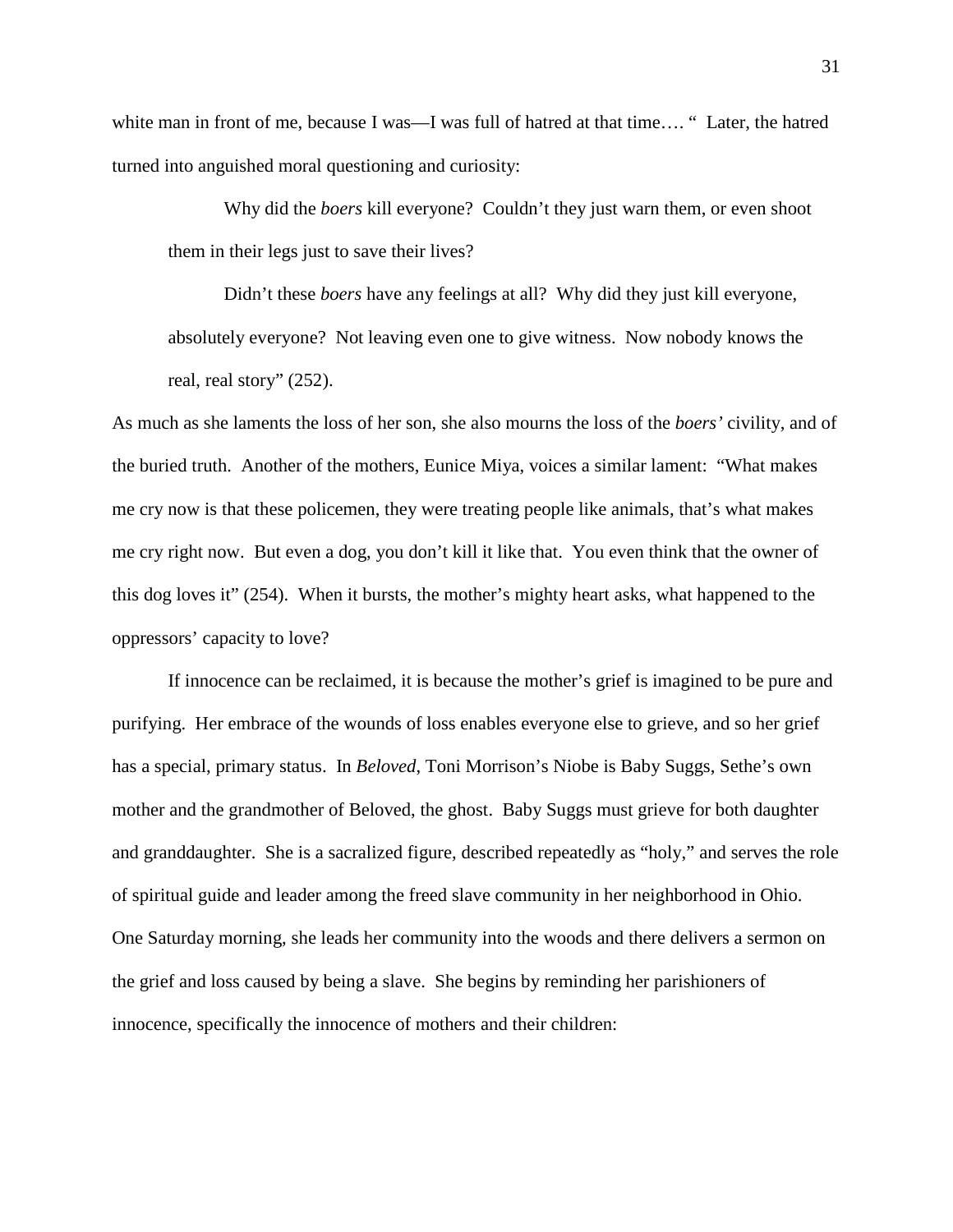white man in front of me, because I was—I was full of hatred at that time.... "Later, the hatred turned into anguished moral questioning and curiosity:

Why did the *boers* kill everyone? Couldn't they just warn them, or even shoot them in their legs just to save their lives?

Didn't these *boers* have any feelings at all? Why did they just kill everyone, absolutely everyone? Not leaving even one to give witness. Now nobody knows the real, real story" (252).

As much as she laments the loss of her son, she also mourns the loss of the *boers'* civility, and of the buried truth. Another of the mothers, Eunice Miya, voices a similar lament: "What makes me cry now is that these policemen, they were treating people like animals, that's what makes me cry right now. But even a dog, you don't kill it like that. You even think that the owner of this dog loves it" (254). When it bursts, the mother's mighty heart asks, what happened to the oppressors' capacity to love?

If innocence can be reclaimed, it is because the mother's grief is imagined to be pure and purifying. Her embrace of the wounds of loss enables everyone else to grieve, and so her grief has a special, primary status. In *Beloved*, Toni Morrison's Niobe is Baby Suggs, Sethe's own mother and the grandmother of Beloved, the ghost. Baby Suggs must grieve for both daughter and granddaughter. She is a sacralized figure, described repeatedly as "holy," and serves the role of spiritual guide and leader among the freed slave community in her neighborhood in Ohio. One Saturday morning, she leads her community into the woods and there delivers a sermon on the grief and loss caused by being a slave. She begins by reminding her parishioners of innocence, specifically the innocence of mothers and their children: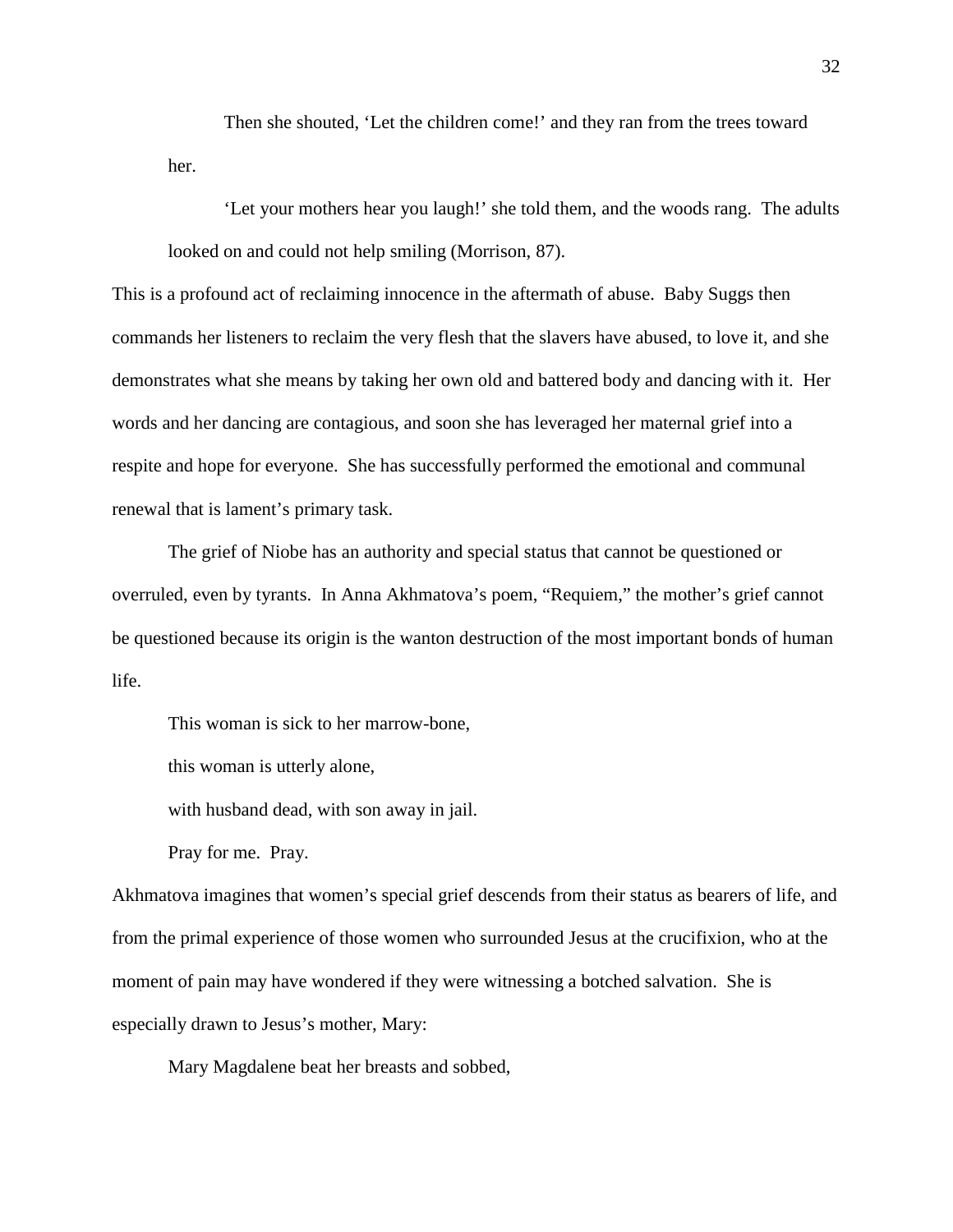Then she shouted, 'Let the children come!' and they ran from the trees toward her.

'Let your mothers hear you laugh!' she told them, and the woods rang. The adults looked on and could not help smiling (Morrison, 87).

This is a profound act of reclaiming innocence in the aftermath of abuse. Baby Suggs then commands her listeners to reclaim the very flesh that the slavers have abused, to love it, and she demonstrates what she means by taking her own old and battered body and dancing with it. Her words and her dancing are contagious, and soon she has leveraged her maternal grief into a respite and hope for everyone. She has successfully performed the emotional and communal renewal that is lament's primary task.

The grief of Niobe has an authority and special status that cannot be questioned or overruled, even by tyrants. In Anna Akhmatova's poem, "Requiem," the mother's grief cannot be questioned because its origin is the wanton destruction of the most important bonds of human life.

This woman is sick to her marrow-bone,

this woman is utterly alone,

with husband dead, with son away in jail.

Pray for me. Pray.

Akhmatova imagines that women's special grief descends from their status as bearers of life, and from the primal experience of those women who surrounded Jesus at the crucifixion, who at the moment of pain may have wondered if they were witnessing a botched salvation. She is especially drawn to Jesus's mother, Mary:

Mary Magdalene beat her breasts and sobbed,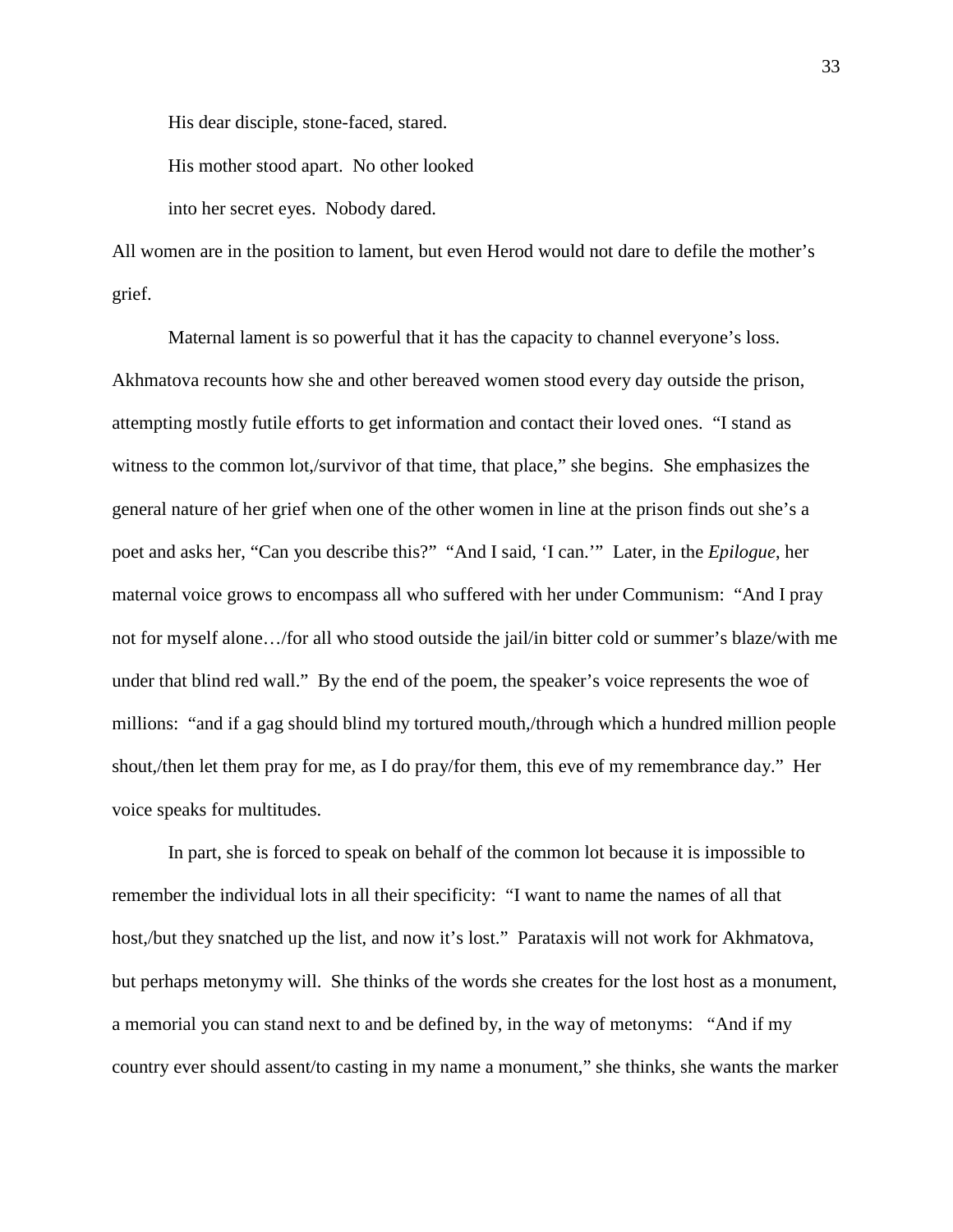His dear disciple, stone-faced, stared.

His mother stood apart. No other looked

into her secret eyes. Nobody dared.

All women are in the position to lament, but even Herod would not dare to defile the mother's grief.

Maternal lament is so powerful that it has the capacity to channel everyone's loss. Akhmatova recounts how she and other bereaved women stood every day outside the prison, attempting mostly futile efforts to get information and contact their loved ones. "I stand as witness to the common lot,/survivor of that time, that place," she begins. She emphasizes the general nature of her grief when one of the other women in line at the prison finds out she's a poet and asks her, "Can you describe this?" "And I said, 'I can.'" Later, in the *Epilogue*, her maternal voice grows to encompass all who suffered with her under Communism: "And I pray not for myself alone…/for all who stood outside the jail/in bitter cold or summer's blaze/with me under that blind red wall." By the end of the poem, the speaker's voice represents the woe of millions: "and if a gag should blind my tortured mouth,/through which a hundred million people shout,/then let them pray for me, as I do pray/for them, this eve of my remembrance day." Her voice speaks for multitudes.

In part, she is forced to speak on behalf of the common lot because it is impossible to remember the individual lots in all their specificity: "I want to name the names of all that host,/but they snatched up the list, and now it's lost." Parataxis will not work for Akhmatova, but perhaps metonymy will. She thinks of the words she creates for the lost host as a monument, a memorial you can stand next to and be defined by, in the way of metonyms: "And if my country ever should assent/to casting in my name a monument," she thinks, she wants the marker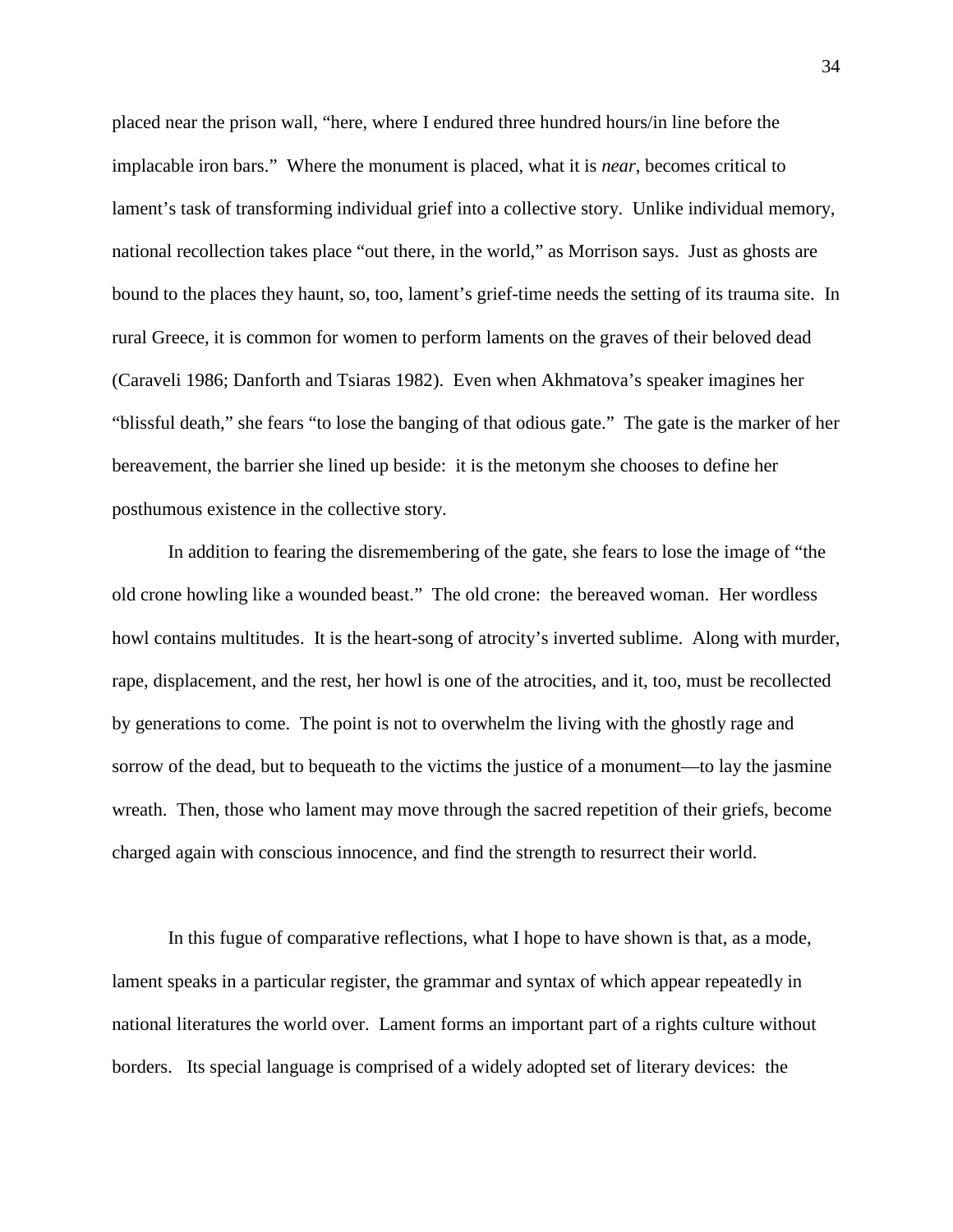placed near the prison wall, "here, where I endured three hundred hours/in line before the implacable iron bars." Where the monument is placed, what it is *near*, becomes critical to lament's task of transforming individual grief into a collective story. Unlike individual memory, national recollection takes place "out there, in the world," as Morrison says. Just as ghosts are bound to the places they haunt, so, too, lament's grief-time needs the setting of its trauma site. In rural Greece, it is common for women to perform laments on the graves of their beloved dead (Caraveli 1986; Danforth and Tsiaras 1982). Even when Akhmatova's speaker imagines her "blissful death," she fears "to lose the banging of that odious gate." The gate is the marker of her bereavement, the barrier she lined up beside: it is the metonym she chooses to define her posthumous existence in the collective story.

In addition to fearing the disremembering of the gate, she fears to lose the image of "the old crone howling like a wounded beast." The old crone: the bereaved woman. Her wordless howl contains multitudes. It is the heart-song of atrocity's inverted sublime. Along with murder, rape, displacement, and the rest, her howl is one of the atrocities, and it, too, must be recollected by generations to come. The point is not to overwhelm the living with the ghostly rage and sorrow of the dead, but to bequeath to the victims the justice of a monument—to lay the jasmine wreath. Then, those who lament may move through the sacred repetition of their griefs, become charged again with conscious innocence, and find the strength to resurrect their world.

In this fugue of comparative reflections, what I hope to have shown is that, as a mode, lament speaks in a particular register, the grammar and syntax of which appear repeatedly in national literatures the world over. Lament forms an important part of a rights culture without borders. Its special language is comprised of a widely adopted set of literary devices: the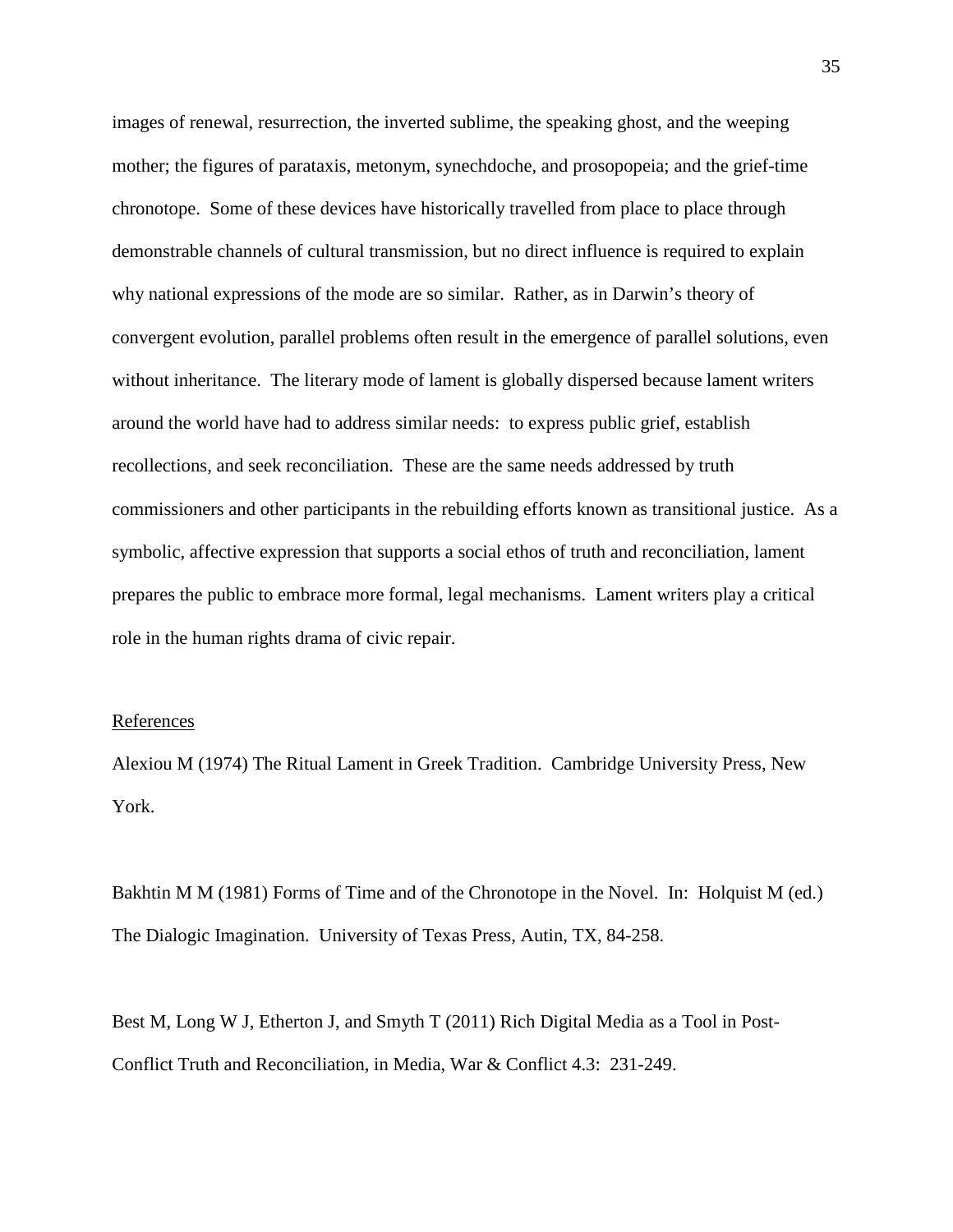images of renewal, resurrection, the inverted sublime, the speaking ghost, and the weeping mother; the figures of parataxis, metonym, synechdoche, and prosopopeia; and the grief-time chronotope. Some of these devices have historically travelled from place to place through demonstrable channels of cultural transmission, but no direct influence is required to explain why national expressions of the mode are so similar. Rather, as in Darwin's theory of convergent evolution, parallel problems often result in the emergence of parallel solutions, even without inheritance. The literary mode of lament is globally dispersed because lament writers around the world have had to address similar needs: to express public grief, establish recollections, and seek reconciliation. These are the same needs addressed by truth commissioners and other participants in the rebuilding efforts known as transitional justice. As a symbolic, affective expression that supports a social ethos of truth and reconciliation, lament prepares the public to embrace more formal, legal mechanisms. Lament writers play a critical role in the human rights drama of civic repair.

# References

Alexiou M (1974) The Ritual Lament in Greek Tradition. Cambridge University Press, New York.

Bakhtin M M (1981) Forms of Time and of the Chronotope in the Novel. In: Holquist M (ed.) The Dialogic Imagination. University of Texas Press, Autin, TX, 84-258.

Best M, Long W J, Etherton J, and Smyth T (2011) Rich Digital Media as a Tool in Post-Conflict Truth and Reconciliation, in Media, War & Conflict 4.3: 231-249.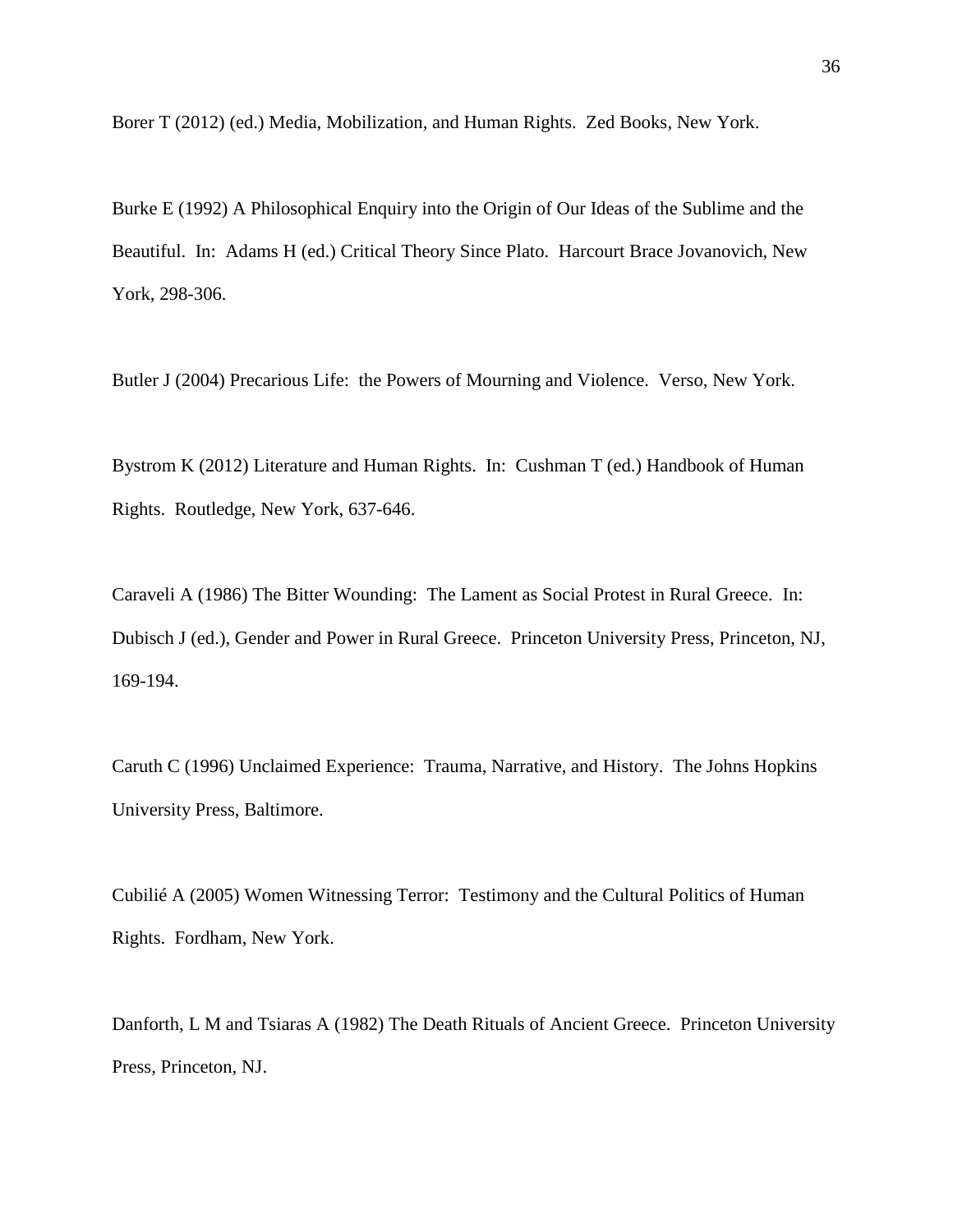Borer T (2012) (ed.) Media, Mobilization, and Human Rights. Zed Books, New York.

Burke E (1992) A Philosophical Enquiry into the Origin of Our Ideas of the Sublime and the Beautiful. In: Adams H (ed.) Critical Theory Since Plato. Harcourt Brace Jovanovich, New York, 298-306.

Butler J (2004) Precarious Life: the Powers of Mourning and Violence. Verso, New York.

Bystrom K (2012) Literature and Human Rights. In: Cushman T (ed.) Handbook of Human Rights. Routledge, New York, 637-646.

Caraveli A (1986) The Bitter Wounding: The Lament as Social Protest in Rural Greece. In: Dubisch J (ed.), Gender and Power in Rural Greece. Princeton University Press, Princeton, NJ, 169-194.

Caruth C (1996) Unclaimed Experience: Trauma, Narrative, and History. The Johns Hopkins University Press, Baltimore.

Cubilié A (2005) Women Witnessing Terror: Testimony and the Cultural Politics of Human Rights. Fordham, New York.

Danforth, L M and Tsiaras A (1982) The Death Rituals of Ancient Greece. Princeton University Press, Princeton, NJ.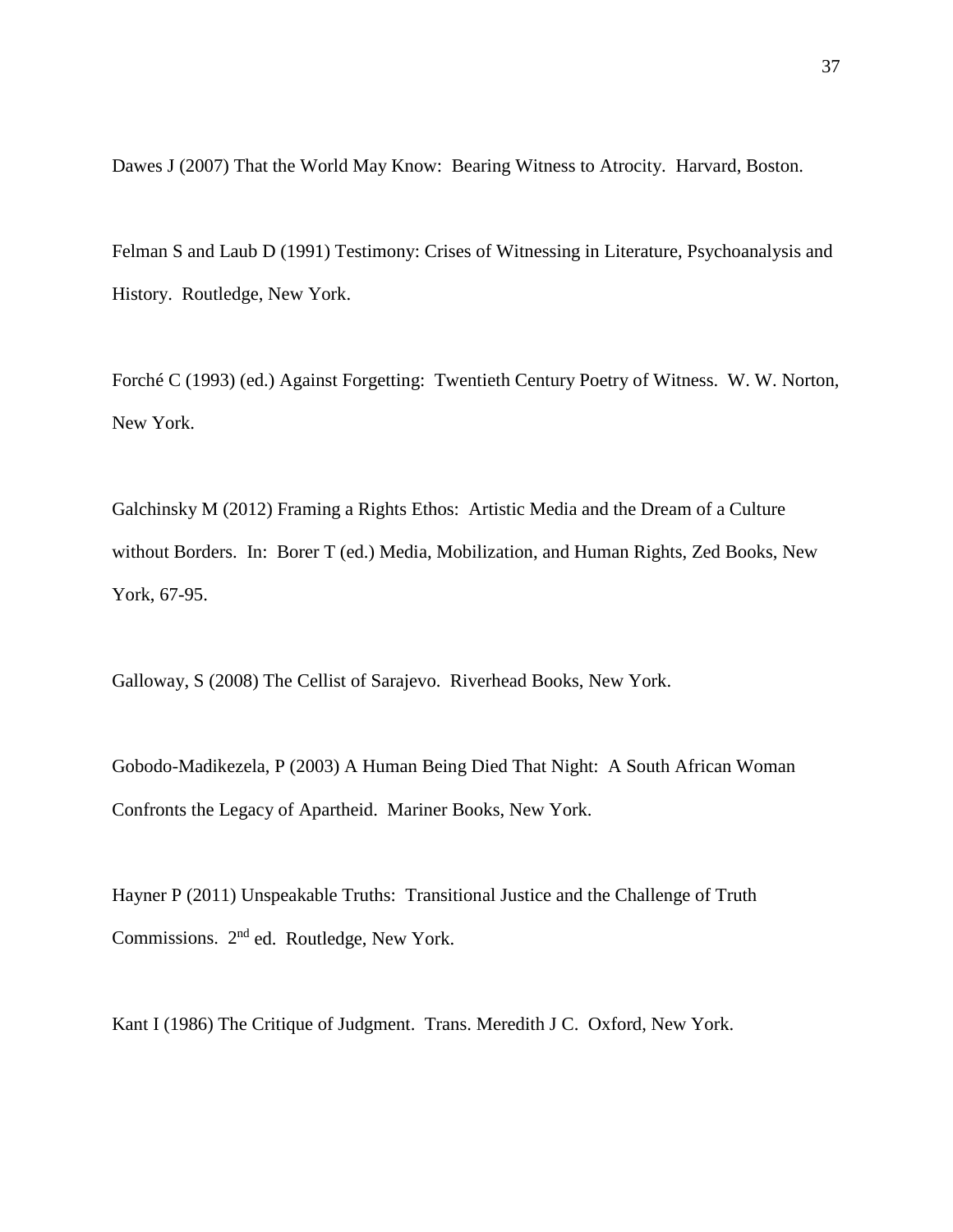Dawes J (2007) That the World May Know: Bearing Witness to Atrocity. Harvard, Boston.

Felman S and Laub D (1991) Testimony: Crises of Witnessing in Literature, Psychoanalysis and History. Routledge, New York.

Forché C (1993) (ed.) Against Forgetting: Twentieth Century Poetry of Witness. W. W. Norton, New York.

Galchinsky M (2012) Framing a Rights Ethos: Artistic Media and the Dream of a Culture without Borders. In: Borer T (ed.) Media, Mobilization, and Human Rights, Zed Books, New York, 67-95.

Galloway, S (2008) The Cellist of Sarajevo. Riverhead Books, New York.

Gobodo-Madikezela, P (2003) A Human Being Died That Night: A South African Woman Confronts the Legacy of Apartheid. Mariner Books, New York.

Hayner P (2011) Unspeakable Truths: Transitional Justice and the Challenge of Truth Commissions. 2nd ed. Routledge, New York.

Kant I (1986) The Critique of Judgment. Trans. Meredith J C. Oxford, New York.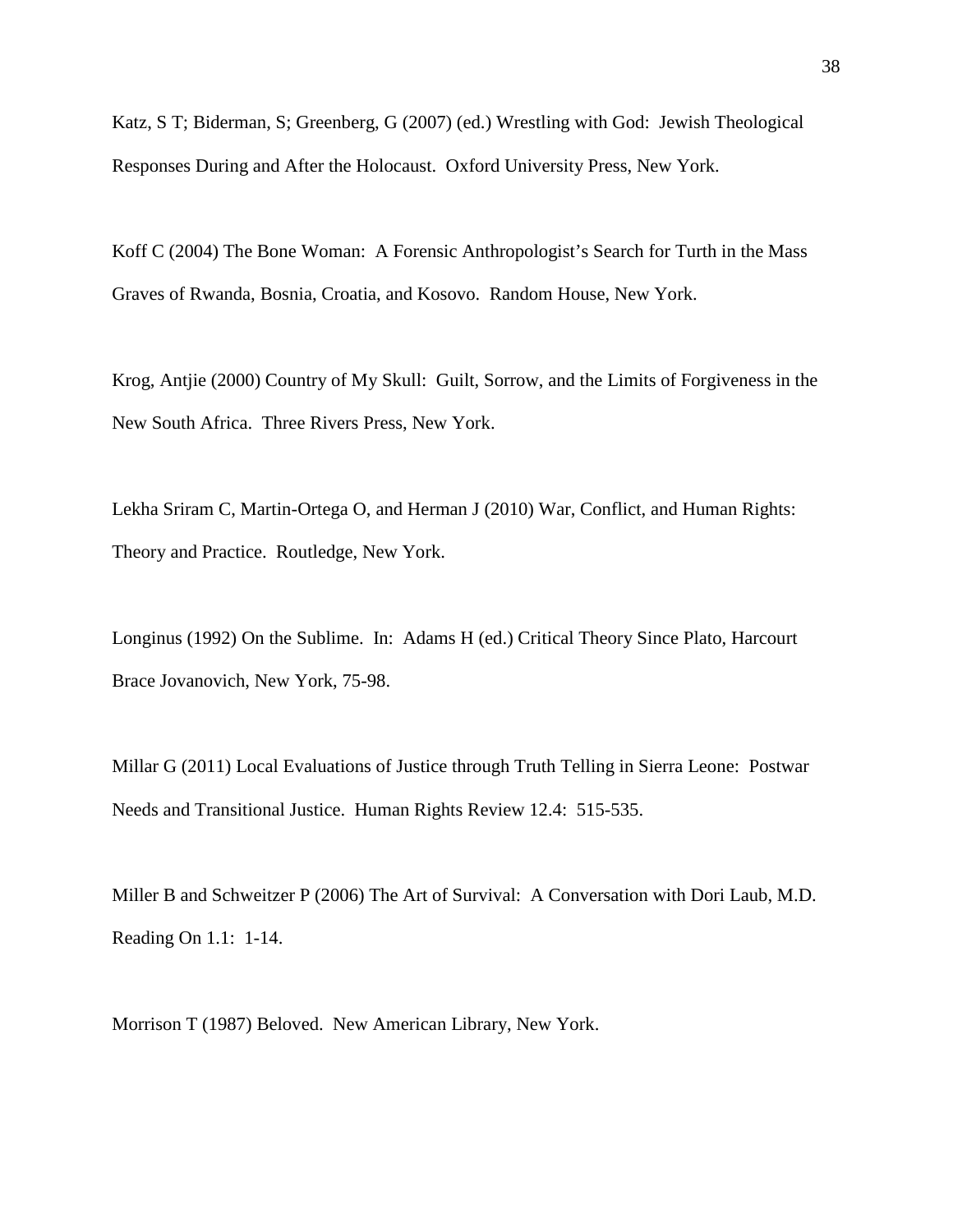Katz, S T; Biderman, S; Greenberg, G (2007) (ed.) Wrestling with God: Jewish Theological Responses During and After the Holocaust. Oxford University Press, New York.

Koff C (2004) The Bone Woman: A Forensic Anthropologist's Search for Turth in the Mass Graves of Rwanda, Bosnia, Croatia, and Kosovo. Random House, New York.

Krog, Antjie (2000) Country of My Skull: Guilt, Sorrow, and the Limits of Forgiveness in the New South Africa. Three Rivers Press, New York.

Lekha Sriram C, Martin-Ortega O, and Herman J (2010) War, Conflict, and Human Rights: Theory and Practice. Routledge, New York.

Longinus (1992) On the Sublime. In: Adams H (ed.) Critical Theory Since Plato, Harcourt Brace Jovanovich, New York, 75-98.

Millar G (2011) Local Evaluations of Justice through Truth Telling in Sierra Leone: Postwar Needs and Transitional Justice. Human Rights Review 12.4: 515-535.

Miller B and Schweitzer P (2006) The Art of Survival: A Conversation with Dori Laub, M.D. Reading On 1.1: 1-14.

Morrison T (1987) Beloved. New American Library, New York.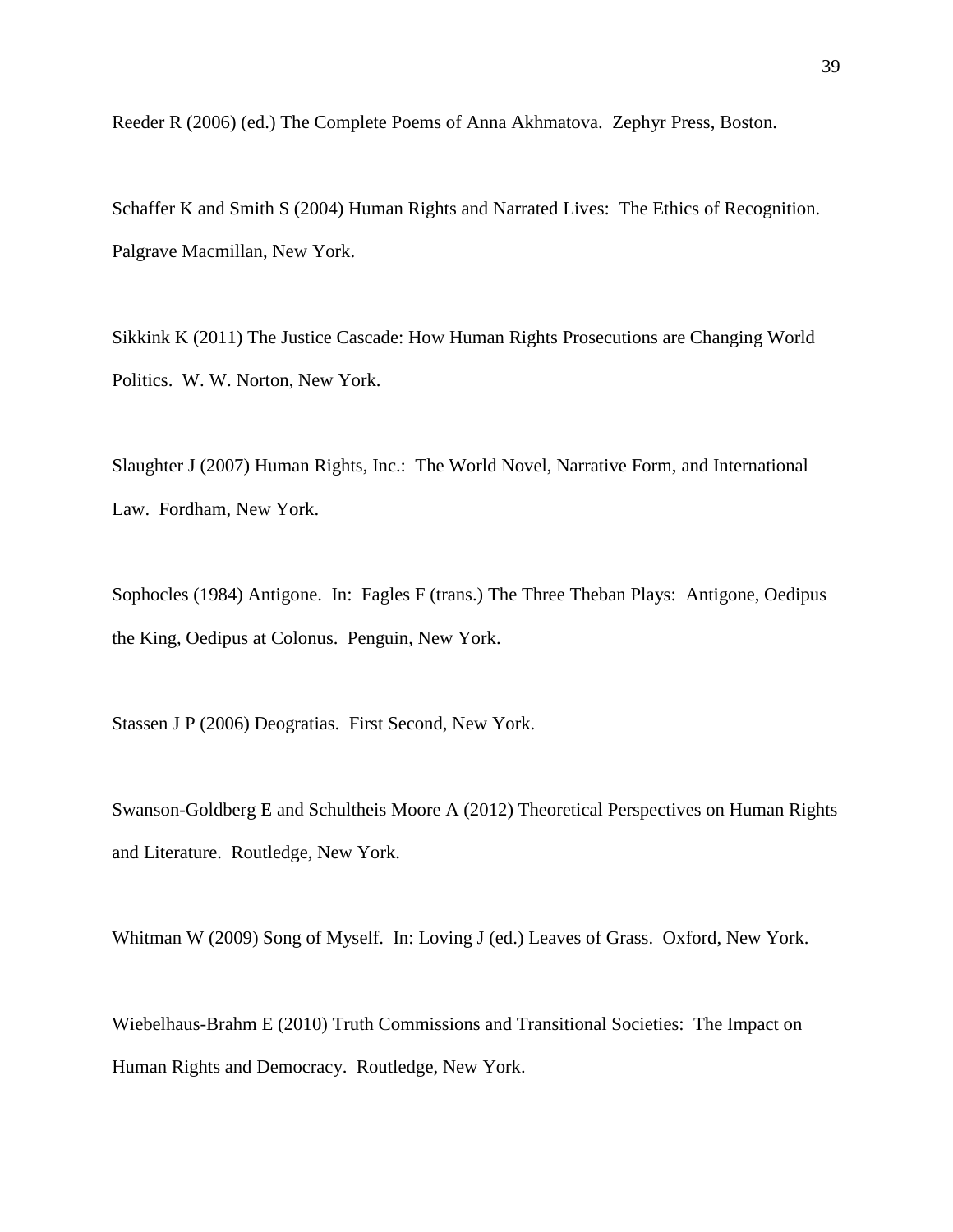Reeder R (2006) (ed.) The Complete Poems of Anna Akhmatova. Zephyr Press, Boston.

Schaffer K and Smith S (2004) Human Rights and Narrated Lives: The Ethics of Recognition. Palgrave Macmillan, New York.

Sikkink K (2011) The Justice Cascade: How Human Rights Prosecutions are Changing World Politics. W. W. Norton, New York.

Slaughter J (2007) Human Rights, Inc.: The World Novel, Narrative Form, and International Law. Fordham, New York.

Sophocles (1984) Antigone. In: Fagles F (trans.) The Three Theban Plays: Antigone, Oedipus the King, Oedipus at Colonus. Penguin, New York.

Stassen J P (2006) Deogratias. First Second, New York.

Swanson-Goldberg E and Schultheis Moore A (2012) Theoretical Perspectives on Human Rights and Literature. Routledge, New York.

Whitman W (2009) Song of Myself. In: Loving J (ed.) Leaves of Grass. Oxford, New York.

Wiebelhaus-Brahm E (2010) Truth Commissions and Transitional Societies: The Impact on Human Rights and Democracy. Routledge, New York.